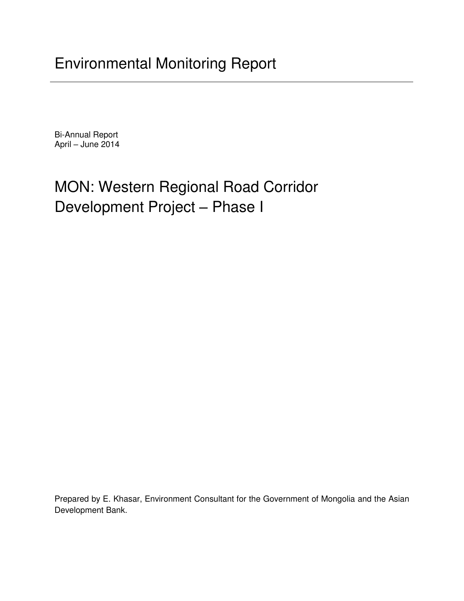Bi-Annual Report April – June 2014

# MON: Western Regional Road Corridor Development Project – Phase I

Prepared by E. Khasar, Environment Consultant for the Government of Mongolia and the Asian Development Bank.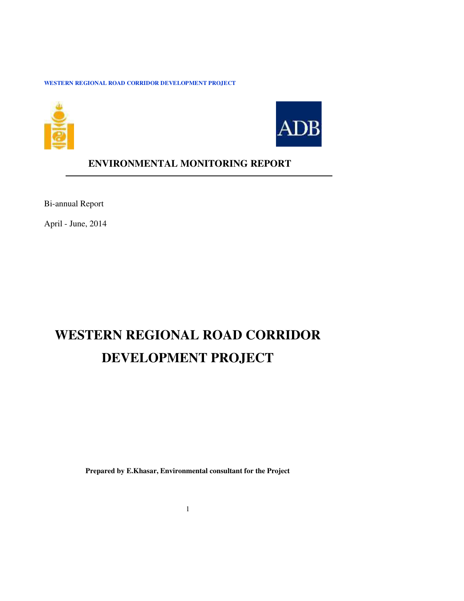



**ENVIRONMENTAL MONITORING REPORT** 

Bi-annual Report

April - June, 2014

## **WESTERN REGIONAL ROAD CORRIDOR DEVELOPMENT PROJECT**

**Prepared by E.Khasar, Environmental consultant for the Project**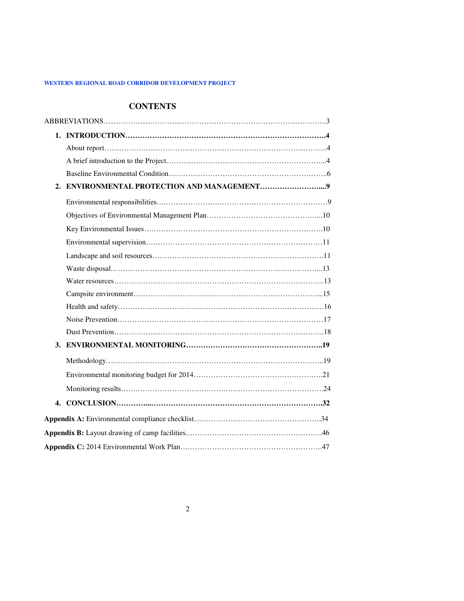## **CONTENTS**

| 4. |  |
|----|--|
|    |  |
|    |  |
|    |  |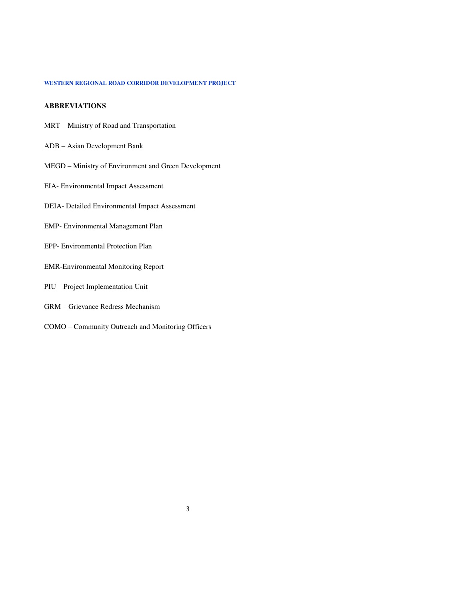### **ABBREVIATIONS**

- MRT Ministry of Road and Transportation
- ADB Asian Development Bank
- MEGD Ministry of Environment and Green Development
- EIA- Environmental Impact Assessment
- DEIA- Detailed Environmental Impact Assessment
- EMP- Environmental Management Plan
- EPP- Environmental Protection Plan
- EMR-Environmental Monitoring Report
- PIU Project Implementation Unit
- GRM Grievance Redress Mechanism
- COMO Community Outreach and Monitoring Officers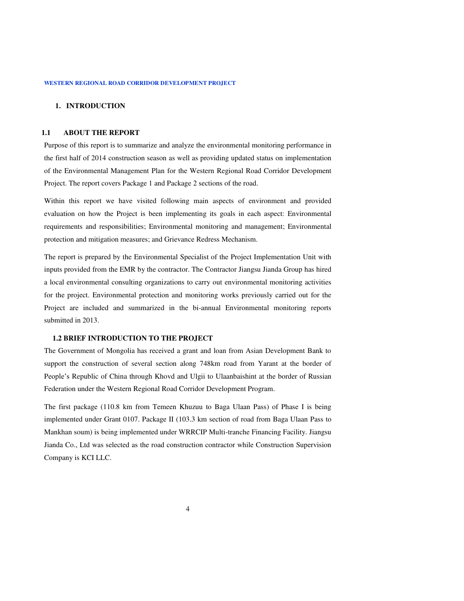### **1. INTRODUCTION**

#### **1.1 ABOUT THE REPORT**

Purpose of this report is to summarize and analyze the environmental monitoring performance in the first half of 2014 construction season as well as providing updated status on implementation of the Environmental Management Plan for the Western Regional Road Corridor Development Project. The report covers Package 1 and Package 2 sections of the road.

Within this report we have visited following main aspects of environment and provided evaluation on how the Project is been implementing its goals in each aspect: Environmental requirements and responsibilities; Environmental monitoring and management; Environmental protection and mitigation measures; and Grievance Redress Mechanism.

The report is prepared by the Environmental Specialist of the Project Implementation Unit with inputs provided from the EMR by the contractor. The Contractor Jiangsu Jianda Group has hired a local environmental consulting organizations to carry out environmental monitoring activities for the project. Environmental protection and monitoring works previously carried out for the Project are included and summarized in the bi-annual Environmental monitoring reports submitted in 2013.

### **1.2 BRIEF INTRODUCTION TO THE PROJECT**

The Government of Mongolia has received a grant and loan from Asian Development Bank to support the construction of several section along 748km road from Yarant at the border of People's Republic of China through Khovd and Ulgii to Ulaanbaishint at the border of Russian Federation under the Western Regional Road Corridor Development Program.

The first package (110.8 km from Temeen Khuzuu to Baga Ulaan Pass) of Phase I is being implemented under Grant 0107. Package II (103.3 km section of road from Baga Ulaan Pass to Mankhan soum) is being implemented under WRRCIP Multi-tranche Financing Facility. Jiangsu Jianda Co., Ltd was selected as the road construction contractor while Construction Supervision Company is KCI LLC.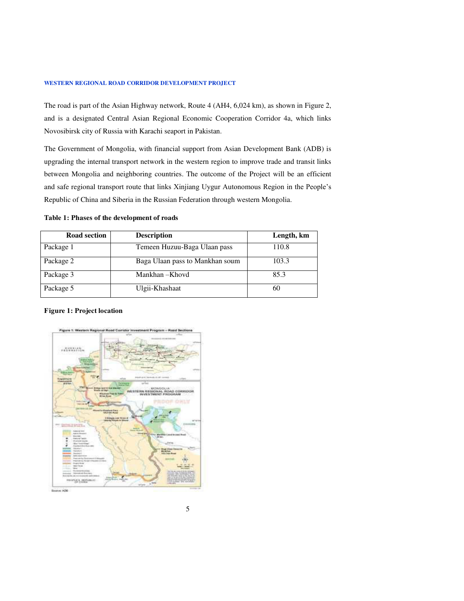The road is part of the Asian Highway network, Route 4 (AH4, 6,024 km), as shown in Figure 2, and is a designated Central Asian Regional Economic Cooperation Corridor 4a, which links Novosibirsk city of Russia with Karachi seaport in Pakistan.

The Government of Mongolia, with financial support from Asian Development Bank (ADB) is upgrading the internal transport network in the western region to improve trade and transit links between Mongolia and neighboring countries. The outcome of the Project will be an efficient and safe regional transport route that links Xinjiang Uygur Autonomous Region in the People's Republic of China and Siberia in the Russian Federation through western Mongolia.

### **Table 1: Phases of the development of roads**

| <b>Road section</b> | <b>Description</b>              | Length, km |
|---------------------|---------------------------------|------------|
| Package 1           | Temeen Huzuu-Baga Ulaan pass    | 110.8      |
| Package 2           | Baga Ulaan pass to Mankhan soum | 103.3      |
| Package 3           | Mankhan - Khovd                 | 85.3       |
| Package 5           | Ulgii-Khashaat                  | 60         |

### **Figure 1: Project location**

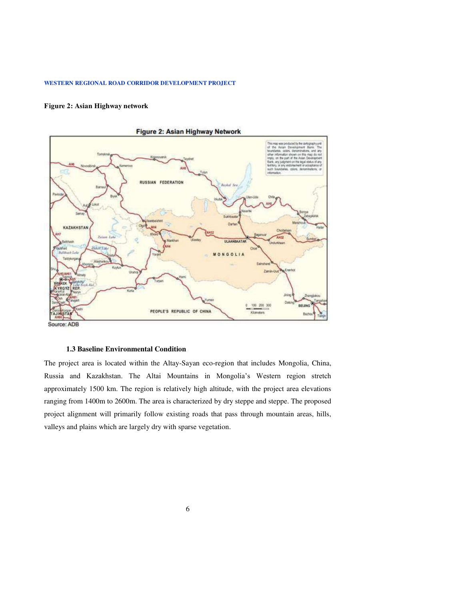### **Figure 2: Asian Highway network**





### **1.3 Baseline Environmental Condition**

The project area is located within the Altay-Sayan eco-region that includes Mongolia, China, Russia and Kazakhstan. The Altai Mountains in Mongolia's Western region stretch approximately 1500 km. The region is relatively high altitude, with the project area elevations ranging from 1400m to 2600m. The area is characterized by dry steppe and steppe. The proposed project alignment will primarily follow existing roads that pass through mountain areas, hills, valleys and plains which are largely dry with sparse vegetation.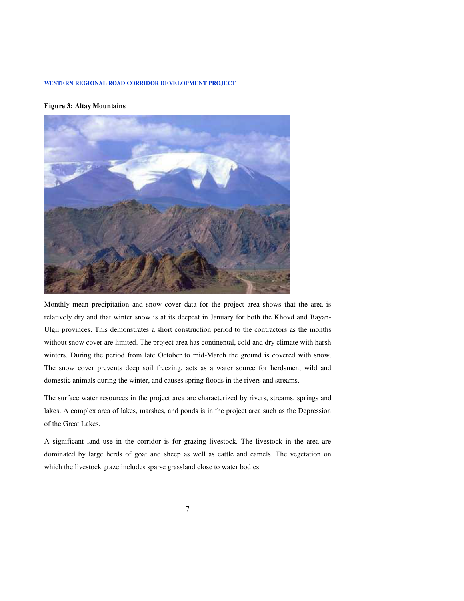### **Figure 3: Altay Mountains**



Monthly mean precipitation and snow cover data for the project area shows that the area is relatively dry and that winter snow is at its deepest in January for both the Khovd and Bayan-Ulgii provinces. This demonstrates a short construction period to the contractors as the months without snow cover are limited. The project area has continental, cold and dry climate with harsh winters. During the period from late October to mid-March the ground is covered with snow. The snow cover prevents deep soil freezing, acts as a water source for herdsmen, wild and domestic animals during the winter, and causes spring floods in the rivers and streams.

The surface water resources in the project area are characterized by rivers, streams, springs and lakes. A complex area of lakes, marshes, and ponds is in the project area such as the Depression of the Great Lakes.

A significant land use in the corridor is for grazing livestock. The livestock in the area are dominated by large herds of goat and sheep as well as cattle and camels. The vegetation on which the livestock graze includes sparse grassland close to water bodies.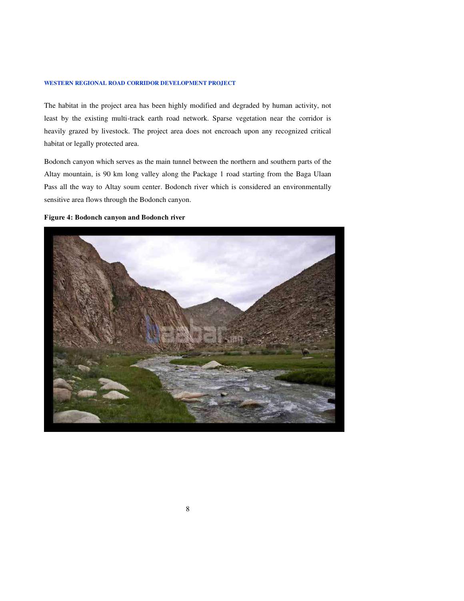The habitat in the project area has been highly modified and degraded by human activity, not least by the existing multi-track earth road network. Sparse vegetation near the corridor is heavily grazed by livestock. The project area does not encroach upon any recognized critical habitat or legally protected area.

Bodonch canyon which serves as the main tunnel between the northern and southern parts of the Altay mountain, is 90 km long valley along the Package 1 road starting from the Baga Ulaan Pass all the way to Altay soum center. Bodonch river which is considered an environmentally sensitive area flows through the Bodonch canyon.

### **Figure 4: Bodonch canyon and Bodonch river**

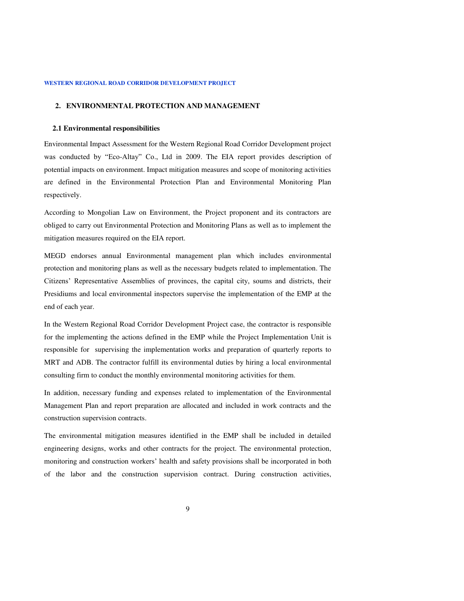### **2. ENVIRONMENTAL PROTECTION AND MANAGEMENT**

#### **2.1 Environmental responsibilities**

Environmental Impact Assessment for the Western Regional Road Corridor Development project was conducted by "Eco-Altay" Co., Ltd in 2009. The EIA report provides description of potential impacts on environment. Impact mitigation measures and scope of monitoring activities are defined in the Environmental Protection Plan and Environmental Monitoring Plan respectively.

According to Mongolian Law on Environment, the Project proponent and its contractors are obliged to carry out Environmental Protection and Monitoring Plans as well as to implement the mitigation measures required on the EIA report.

MEGD endorses annual Environmental management plan which includes environmental protection and monitoring plans as well as the necessary budgets related to implementation. The Citizens' Representative Assemblies of provinces, the capital city, soums and districts, their Presidiums and local environmental inspectors supervise the implementation of the EMP at the end of each year.

In the Western Regional Road Corridor Development Project case, the contractor is responsible for the implementing the actions defined in the EMP while the Project Implementation Unit is responsible for supervising the implementation works and preparation of quarterly reports to MRT and ADB. The contractor fulfill its environmental duties by hiring a local environmental consulting firm to conduct the monthly environmental monitoring activities for them.

In addition, necessary funding and expenses related to implementation of the Environmental Management Plan and report preparation are allocated and included in work contracts and the construction supervision contracts.

The environmental mitigation measures identified in the EMP shall be included in detailed engineering designs, works and other contracts for the project. The environmental protection, monitoring and construction workers' health and safety provisions shall be incorporated in both of the labor and the construction supervision contract. During construction activities,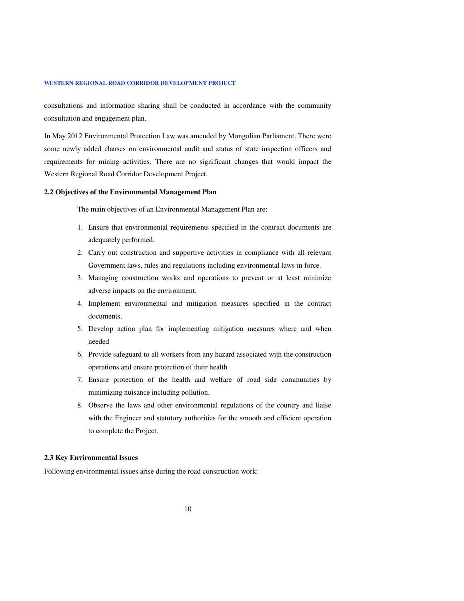consultations and information sharing shall be conducted in accordance with the community consultation and engagement plan.

In May 2012 Environmental Protection Law was amended by Mongolian Parliament. There were some newly added clauses on environmental audit and status of state inspection officers and requirements for mining activities. There are no significant changes that would impact the Western Regional Road Corridor Development Project.

#### **2.2 Objectives of the Environmental Management Plan**

The main objectives of an Environmental Management Plan are:

- 1. Ensure that environmental requirements specified in the contract documents are adequately performed.
- 2. Carry out construction and supportive activities in compliance with all relevant Government laws, rules and regulations including environmental laws in force.
- 3. Managing construction works and operations to prevent or at least minimize adverse impacts on the environment.
- 4. Implement environmental and mitigation measures specified in the contract documents.
- 5. Develop action plan for implementing mitigation measures where and when needed
- 6. Provide safeguard to all workers from any hazard associated with the construction operations and ensure protection of their health
- 7. Ensure protection of the health and welfare of road side communities by minimizing nuisance including pollution.
- 8. Observe the laws and other environmental regulations of the country and liaise with the Engineer and statutory authorities for the smooth and efficient operation to complete the Project.

### **2.3 Key Environmental Issues**

Following environmental issues arise during the road construction work: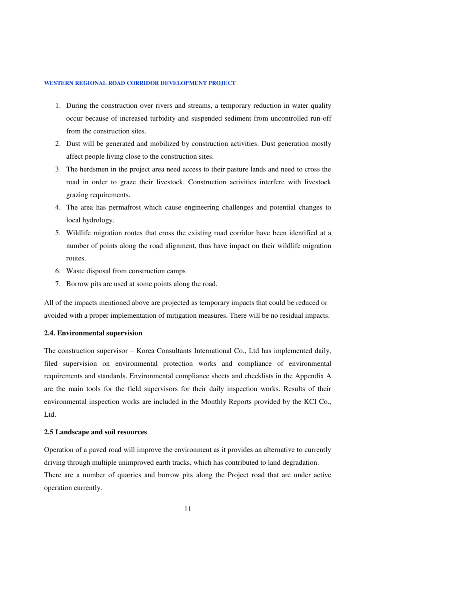- 1. During the construction over rivers and streams, a temporary reduction in water quality occur because of increased turbidity and suspended sediment from uncontrolled run-off from the construction sites.
- 2. Dust will be generated and mobilized by construction activities. Dust generation mostly affect people living close to the construction sites.
- 3. The herdsmen in the project area need access to their pasture lands and need to cross the road in order to graze their livestock. Construction activities interfere with livestock grazing requirements.
- 4. The area has permafrost which cause engineering challenges and potential changes to local hydrology.
- 5. Wildlife migration routes that cross the existing road corridor have been identified at a number of points along the road alignment, thus have impact on their wildlife migration routes.
- 6. Waste disposal from construction camps
- 7. Borrow pits are used at some points along the road.

All of the impacts mentioned above are projected as temporary impacts that could be reduced or avoided with a proper implementation of mitigation measures. There will be no residual impacts.

### **2.4. Environmental supervision**

The construction supervisor – Korea Consultants International Co., Ltd has implemented daily, filed supervision on environmental protection works and compliance of environmental requirements and standards. Environmental compliance sheets and checklists in the Appendix A are the main tools for the field supervisors for their daily inspection works. Results of their environmental inspection works are included in the Monthly Reports provided by the KCI Co., Ltd.

#### **2.5 Landscape and soil resources**

Operation of a paved road will improve the environment as it provides an alternative to currently driving through multiple unimproved earth tracks, which has contributed to land degradation. There are a number of quarries and borrow pits along the Project road that are under active operation currently.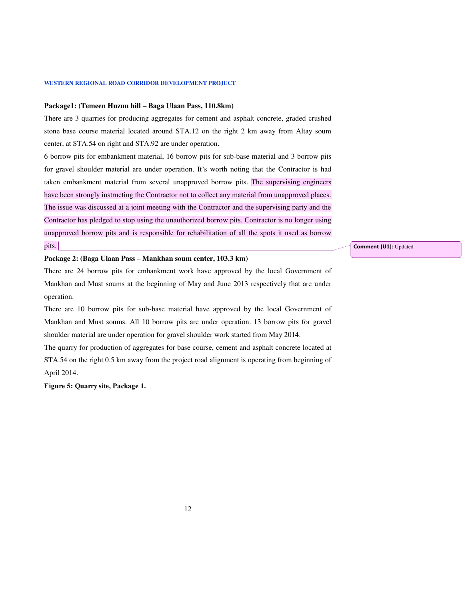#### **Package1: (Temeen Huzuu hill – Baga Ulaan Pass, 110.8km)**

There are 3 quarries for producing aggregates for cement and asphalt concrete, graded crushed stone base course material located around STA.12 on the right 2 km away from Altay soum center, at STA.54 on right and STA.92 are under operation.

6 borrow pits for embankment material, 16 borrow pits for sub-base material and 3 borrow pits for gravel shoulder material are under operation. It's worth noting that the Contractor is had taken embankment material from several unapproved borrow pits. The supervising engineers have been strongly instructing the Contractor not to collect any material from unapproved places. The issue was discussed at a joint meeting with the Contractor and the supervising party and the Contractor has pledged to stop using the unauthorized borrow pits. Contractor is no longer using unapproved borrow pits and is responsible for rehabilitation of all the spots it used as borrow pits.

### **Package 2: (Baga Ulaan Pass – Mankhan soum center, 103.3 km)**

There are 24 borrow pits for embankment work have approved by the local Government of Mankhan and Must soums at the beginning of May and June 2013 respectively that are under operation.

There are 10 borrow pits for sub-base material have approved by the local Government of Mankhan and Must soums. All 10 borrow pits are under operation. 13 borrow pits for gravel shoulder material are under operation for gravel shoulder work started from May 2014.

The quarry for production of aggregates for base course, cement and asphalt concrete located at STA.54 on the right 0.5 km away from the project road alignment is operating from beginning of April 2014.

**Figure 5: Quarry site, Package 1.** 

**Comment [U1]:** Updated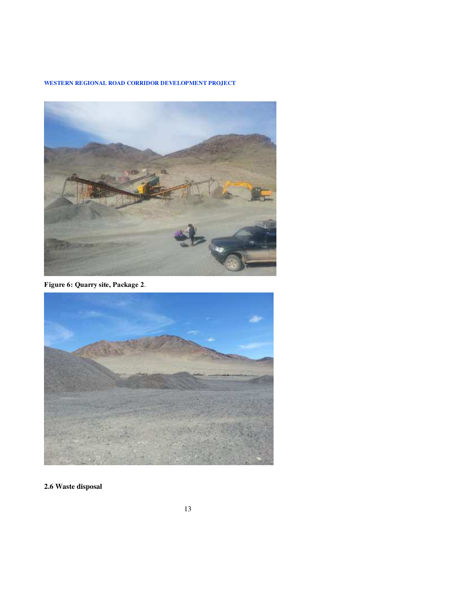

**Figure 6: Quarry site, Package 2**.



**2.6 Waste disposal**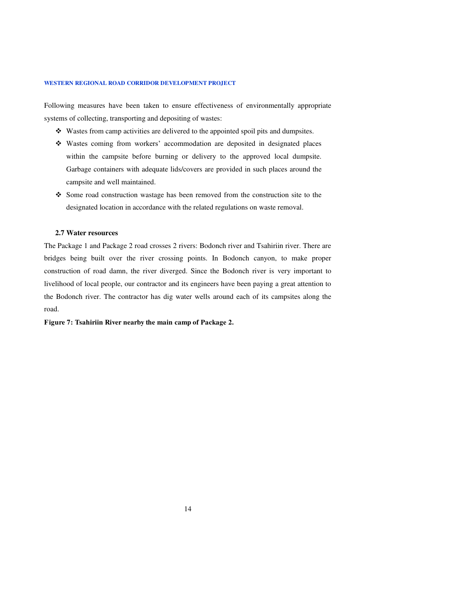Following measures have been taken to ensure effectiveness of environmentally appropriate systems of collecting, transporting and depositing of wastes:

- Wastes from camp activities are delivered to the appointed spoil pits and dumpsites.
- Wastes coming from workers' accommodation are deposited in designated places within the campsite before burning or delivery to the approved local dumpsite. Garbage containers with adequate lids/covers are provided in such places around the campsite and well maintained.
- $\div$  Some road construction wastage has been removed from the construction site to the designated location in accordance with the related regulations on waste removal.

### **2.7 Water resources**

The Package 1 and Package 2 road crosses 2 rivers: Bodonch river and Tsahiriin river. There are bridges being built over the river crossing points. In Bodonch canyon, to make proper construction of road damn, the river diverged. Since the Bodonch river is very important to livelihood of local people, our contractor and its engineers have been paying a great attention to the Bodonch river. The contractor has dig water wells around each of its campsites along the road.

### **Figure 7: Tsahiriin River nearby the main camp of Package 2.**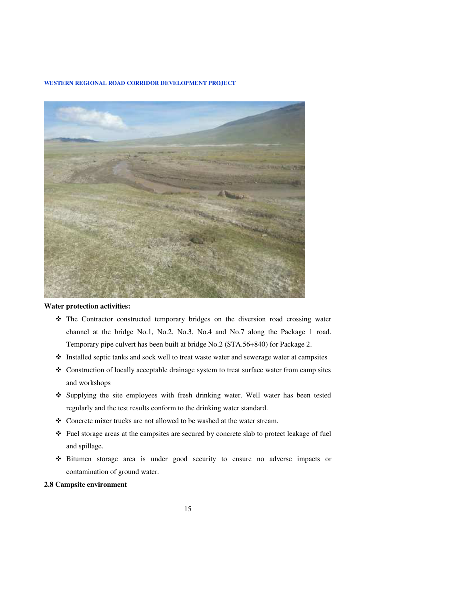

### **Water protection activities:**

- The Contractor constructed temporary bridges on the diversion road crossing water channel at the bridge No.1, No.2, No.3, No.4 and No.7 along the Package 1 road. Temporary pipe culvert has been built at bridge No.2 (STA.56+840) for Package 2.
- Installed septic tanks and sock well to treat waste water and sewerage water at campsites
- Construction of locally acceptable drainage system to treat surface water from camp sites and workshops
- Supplying the site employees with fresh drinking water. Well water has been tested regularly and the test results conform to the drinking water standard.
- Concrete mixer trucks are not allowed to be washed at the water stream.
- Fuel storage areas at the campsites are secured by concrete slab to protect leakage of fuel and spillage.
- Bitumen storage area is under good security to ensure no adverse impacts or contamination of ground water.

### **2.8 Campsite environment**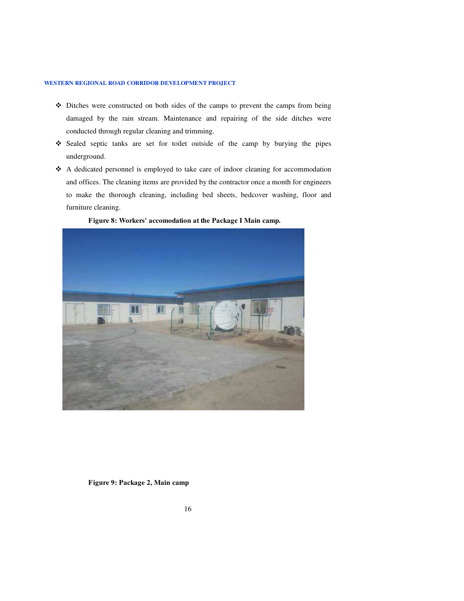- Ditches were constructed on both sides of the camps to prevent the camps from being damaged by the rain stream. Maintenance and repairing of the side ditches were conducted through regular cleaning and trimming.
- Sealed septic tanks are set for toilet outside of the camp by burying the pipes underground.
- A dedicated personnel is employed to take care of indoor cleaning for accommodation and offices. The cleaning items are provided by the contractor once a month for engineers to make the thorough cleaning, including bed sheets, bedcover washing, floor and furniture cleaning.



 **Figure 8: Workers' accomodation at the Package I Main camp.** 

 **Figure 9: Package 2, Main camp**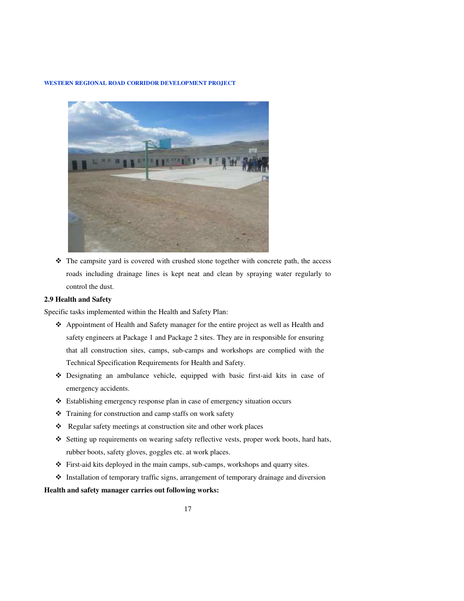

\* The campsite yard is covered with crushed stone together with concrete path, the access roads including drainage lines is kept neat and clean by spraying water regularly to control the dust.

### **2.9 Health and Safety**

Specific tasks implemented within the Health and Safety Plan:

- Appointment of Health and Safety manager for the entire project as well as Health and safety engineers at Package 1 and Package 2 sites. They are in responsible for ensuring that all construction sites, camps, sub-camps and workshops are complied with the Technical Specification Requirements for Health and Safety.
- Designating an ambulance vehicle, equipped with basic first-aid kits in case of emergency accidents.
- Establishing emergency response plan in case of emergency situation occurs
- \* Training for construction and camp staffs on work safety
- \* Regular safety meetings at construction site and other work places
- $\div$  Setting up requirements on wearing safety reflective vests, proper work boots, hard hats, rubber boots, safety gloves, goggles etc. at work places.
- First-aid kits deployed in the main camps, sub-camps, workshops and quarry sites.
- Installation of temporary traffic signs, arrangement of temporary drainage and diversion

#### **Health and safety manager carries out following works:**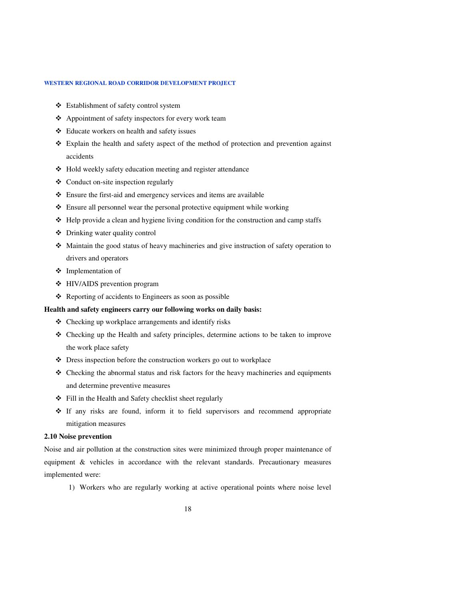- Establishment of safety control system
- $\triangle$  Appointment of safety inspectors for every work team
- Educate workers on health and safety issues
- $\div$  Explain the health and safety aspect of the method of protection and prevention against accidents
- Hold weekly safety education meeting and register attendance
- $\triangleleft$  Conduct on-site inspection regularly
- Ensure the first-aid and emergency services and items are available
- Ensure all personnel wear the personal protective equipment while working
- $\triangle$  Help provide a clean and hygiene living condition for the construction and camp staffs
- Drinking water quality control
- Maintain the good status of heavy machineries and give instruction of safety operation to drivers and operators
- Implementation of
- HIV/AIDS prevention program
- $\triangle$  Reporting of accidents to Engineers as soon as possible

### **Health and safety engineers carry our following works on daily basis:**

- $\triangle$  Checking up workplace arrangements and identify risks
- Checking up the Health and safety principles, determine actions to be taken to improve the work place safety
- Dress inspection before the construction workers go out to workplace
- $\triangleleft$  Checking the abnormal status and risk factors for the heavy machineries and equipments and determine preventive measures
- $\div$  Fill in the Health and Safety checklist sheet regularly
- If any risks are found, inform it to field supervisors and recommend appropriate mitigation measures

### **2.10 Noise prevention**

Noise and air pollution at the construction sites were minimized through proper maintenance of equipment & vehicles in accordance with the relevant standards. Precautionary measures implemented were:

1) Workers who are regularly working at active operational points where noise level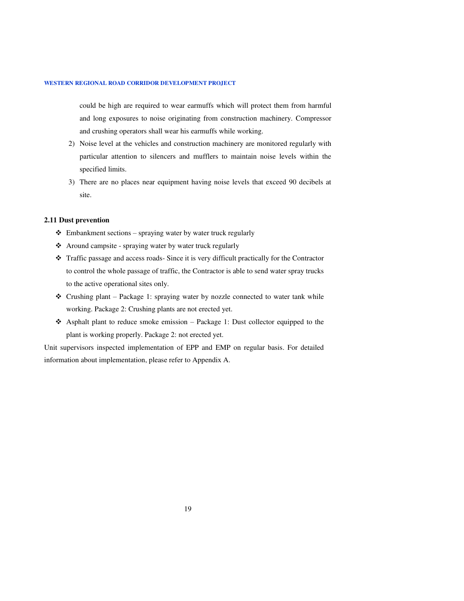could be high are required to wear earmuffs which will protect them from harmful and long exposures to noise originating from construction machinery. Compressor and crushing operators shall wear his earmuffs while working.

- 2) Noise level at the vehicles and construction machinery are monitored regularly with particular attention to silencers and mufflers to maintain noise levels within the specified limits.
- 3) There are no places near equipment having noise levels that exceed 90 decibels at site.

#### **2.11 Dust prevention**

- $\triangleleft$  Embankment sections spraying water by water truck regularly
- Around campsite spraying water by water truck regularly
- Traffic passage and access roads- Since it is very difficult practically for the Contractor to control the whole passage of traffic, the Contractor is able to send water spray trucks to the active operational sites only.
- $\triangleleft$  Crushing plant Package 1: spraying water by nozzle connected to water tank while working. Package 2: Crushing plants are not erected yet.
- $\triangle$  Asphalt plant to reduce smoke emission Package 1: Dust collector equipped to the plant is working properly. Package 2: not erected yet.

Unit supervisors inspected implementation of EPP and EMP on regular basis. For detailed information about implementation, please refer to Appendix A.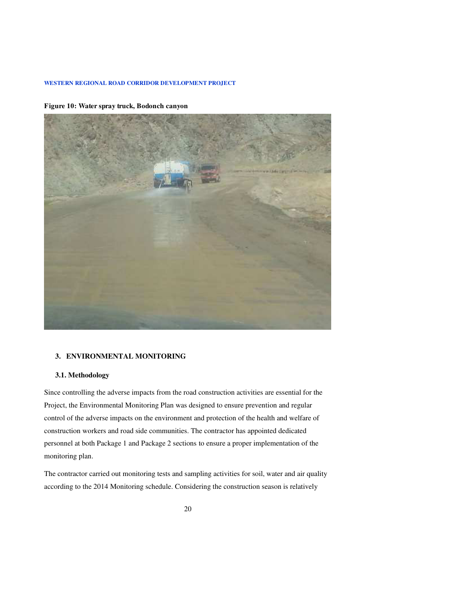**Figure 10: Water spray truck, Bodonch canyon** 



### **3. ENVIRONMENTAL MONITORING**

### **3.1. Methodology**

Since controlling the adverse impacts from the road construction activities are essential for the Project, the Environmental Monitoring Plan was designed to ensure prevention and regular control of the adverse impacts on the environment and protection of the health and welfare of construction workers and road side communities. The contractor has appointed dedicated personnel at both Package 1 and Package 2 sections to ensure a proper implementation of the monitoring plan.

The contractor carried out monitoring tests and sampling activities for soil, water and air quality according to the 2014 Monitoring schedule. Considering the construction season is relatively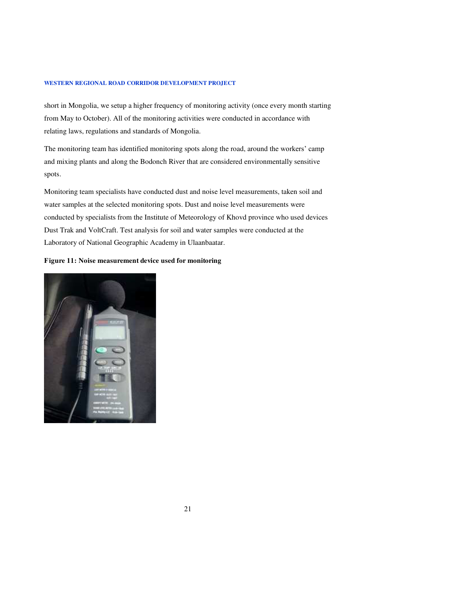short in Mongolia, we setup a higher frequency of monitoring activity (once every month starting from May to October). All of the monitoring activities were conducted in accordance with relating laws, regulations and standards of Mongolia.

The monitoring team has identified monitoring spots along the road, around the workers' camp and mixing plants and along the Bodonch River that are considered environmentally sensitive spots.

Monitoring team specialists have conducted dust and noise level measurements, taken soil and water samples at the selected monitoring spots. Dust and noise level measurements were conducted by specialists from the Institute of Meteorology of Khovd province who used devices Dust Trak and VoltCraft. Test analysis for soil and water samples were conducted at the Laboratory of National Geographic Academy in Ulaanbaatar.

### **Figure 11: Noise measurement device used for monitoring**

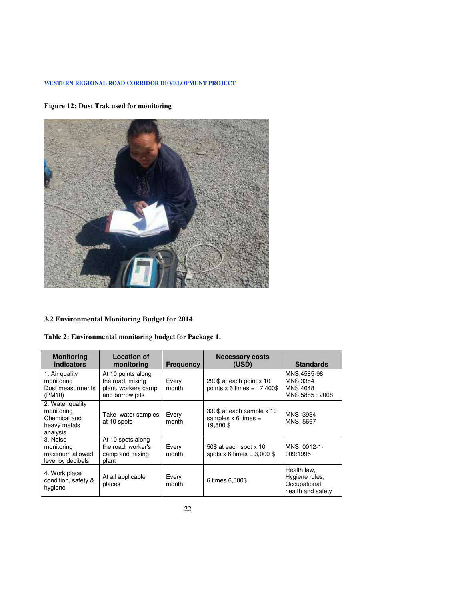### **Figure 12: Dust Trak used for monitoring**



### **3.2 Environmental Monitoring Budget for 2014**

|  | Table 2: Environmental monitoring budget for Package 1. |  |  |  |
|--|---------------------------------------------------------|--|--|--|
|--|---------------------------------------------------------|--|--|--|

| <b>Monitoring</b><br>indicators                                            | <b>Location of</b><br>monitoring                                                 | <b>Frequency</b> | <b>Necessary costs</b><br>(USD)                                     | <b>Standards</b>                                                   |
|----------------------------------------------------------------------------|----------------------------------------------------------------------------------|------------------|---------------------------------------------------------------------|--------------------------------------------------------------------|
| 1. Air quality<br>monitoring<br>Dust measurments<br>(PM10)                 | At 10 points along<br>the road, mixing<br>plant, workers camp<br>and borrow pits | Every<br>month   | 290\$ at each point x 10<br>points $x$ 6 times = 17,400\$           | MNS:4585-98<br>MNS:3384<br>MNS:4048<br>MNS:5885: 2008              |
| 2. Water quality<br>monitoring<br>Chemical and<br>heavy metals<br>analysis | Take water samples<br>at 10 spots                                                | Every<br>month   | 330\$ at each sample x 10<br>samples $\times$ 6 times =<br>19,800\$ | MNS: 3934<br>MNS: 5667                                             |
| 3. Noise<br>monitoring<br>maximum allowed<br>level by decibels             | At 10 spots along<br>the road, worker's<br>camp and mixing<br>plant              | Every<br>month   | 50\$ at each spot x 10<br>spots $x 6$ times = 3,000 \$              | MNS: 0012-1-<br>009:1995                                           |
| 4. Work place<br>condition, safety &<br>hygiene                            | At all applicable<br>places                                                      | Every<br>month   | 6 times 6,000\$                                                     | Health law,<br>Hygiene rules,<br>Occupational<br>health and safety |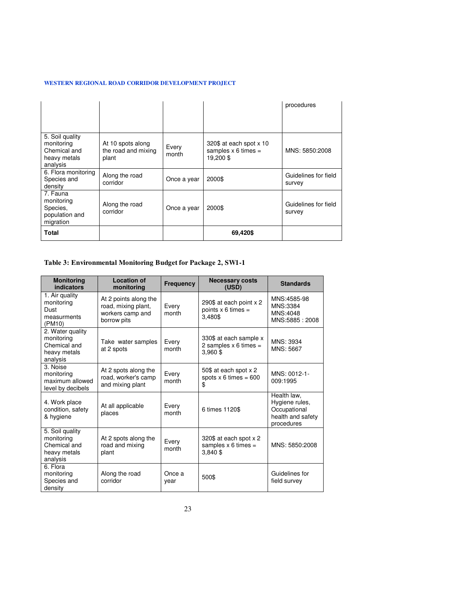|                                                                           |                                                   |                |                                                                   | procedures                     |
|---------------------------------------------------------------------------|---------------------------------------------------|----------------|-------------------------------------------------------------------|--------------------------------|
| 5. Soil quality<br>monitoring<br>Chemical and<br>heavy metals<br>analysis | At 10 spots along<br>the road and mixing<br>plant | Every<br>month | 320\$ at each spot x 10<br>samples $\times$ 6 times =<br>19.200\$ | MNS: 5850:2008                 |
| 6. Flora monitoring<br>Species and<br>density                             | Along the road<br>corridor                        | Once a year    | 2000\$                                                            | Guidelines for field<br>survey |
| 7. Fauna<br>monitoring<br>Species,<br>population and<br>migration         | Along the road<br>corridor                        | Once a year    | 2000\$                                                            | Guidelines for field<br>survey |
| Total                                                                     |                                                   |                | 69,420\$                                                          |                                |

### **Table 3: Environmental Monitoring Budget for Package 2, SW1-1**

| <b>Monitoring</b><br>indicators                                            | <b>Location of</b><br>monitoring                                                | <b>Frequency</b> | <b>Necessary costs</b><br>(USD)                              | <b>Standards</b>                                                                 |
|----------------------------------------------------------------------------|---------------------------------------------------------------------------------|------------------|--------------------------------------------------------------|----------------------------------------------------------------------------------|
| 1. Air quality<br>monitoring<br>Dust<br>measurments<br>(PM10)              | At 2 points along the<br>road, mixing plant,<br>workers camp and<br>borrow pits | Every<br>month   | 290\$ at each point x 2<br>points $x$ 6 times =<br>3.480\$   | MNS:4585-98<br>MNS:3384<br>MNS:4048<br>MNS:5885: 2008                            |
| 2. Water quality<br>monitoring<br>Chemical and<br>heavy metals<br>analysis | Take water samples<br>at 2 spots                                                | Every<br>month   | 330\$ at each sample x<br>2 samples $x$ 6 times =<br>3,960\$ | MNS: 3934<br>MNS: 5667                                                           |
| 3. Noise<br>monitoring<br>maximum allowed<br>level by decibels             | At 2 spots along the<br>road, worker's camp<br>and mixing plant                 | Every<br>month   | 50\$ at each spot x 2<br>spots $x 6$ times = 600<br>\$       | MNS: 0012-1-<br>009:1995                                                         |
| 4. Work place<br>condition, safety<br>& hygiene                            | At all applicable<br>places                                                     | Every<br>month   | 6 times 1120\$                                               | Health law,<br>Hygiene rules,<br>Occupational<br>health and safety<br>procedures |
| 5. Soil quality<br>monitoring<br>Chemical and<br>heavy metals<br>analysis  | At 2 spots along the<br>road and mixing<br>plant                                | Every<br>month   | 320\$ at each spot x 2<br>samples $x 6$ times =<br>3,840\$   | MNS: 5850:2008                                                                   |
| 6. Flora<br>monitoring<br>Species and<br>density                           | Along the road<br>corridor                                                      | Once a<br>year   | 500\$                                                        | Guidelines for<br>field survey                                                   |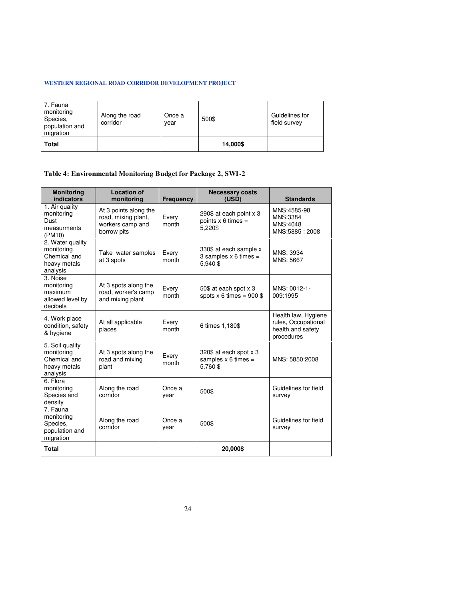| 7. Fauna<br>monitoring<br>Species,<br>population and<br>migration | Along the road<br>corridor | Once a<br>year | 500\$    | Guidelines for<br>field survey |
|-------------------------------------------------------------------|----------------------------|----------------|----------|--------------------------------|
| <b>Total</b>                                                      |                            |                | 14,000\$ |                                |

### **Table 4: Environmental Monitoring Budget for Package 2, SW1-2**

| <b>Monitoring</b><br>indicators                                            | <b>Location of</b><br>monitoring                                                | <b>Frequency</b> | <b>Necessary costs</b><br>(USD)                                   | <b>Standards</b>                                                              |
|----------------------------------------------------------------------------|---------------------------------------------------------------------------------|------------------|-------------------------------------------------------------------|-------------------------------------------------------------------------------|
| 1. Air quality<br>monitoring<br>Dust<br>measurments<br>(PM10)              | At 3 points along the<br>road, mixing plant,<br>workers camp and<br>borrow pits | Every<br>month   | 290\$ at each point x 3<br>points $x$ 6 times =<br>5,220\$        | MNS:4585-98<br>MNS:3384<br>MNS:4048<br>MNS:5885: 2008                         |
| 2. Water quality<br>monitoring<br>Chemical and<br>heavy metals<br>analysis | Take water samples<br>at 3 spots                                                | Every<br>month   | 330\$ at each sample x<br>3 samples $\times$ 6 times =<br>5.940\$ | MNS: 3934<br>MNS: 5667                                                        |
| 3. Noise<br>monitoring<br>maximum<br>allowed level by<br>decibels          | At 3 spots along the<br>road, worker's camp<br>and mixing plant                 | Every<br>month   | 50\$ at each spot x 3<br>spots $x 6$ times = 900 \$               | MNS: 0012-1-<br>009:1995                                                      |
| 4. Work place<br>condition, safety<br>& hygiene                            | At all applicable<br>places                                                     | Every<br>month   | 6 times 1,180\$                                                   | Health law, Hygiene<br>rules, Occupational<br>health and safety<br>procedures |
| 5. Soil quality<br>monitoring<br>Chemical and<br>heavy metals<br>analysis  | At 3 spots along the<br>road and mixing<br>plant                                | Every<br>month   | 320\$ at each spot x 3<br>samples $x 6$ times =<br>5,760\$        | MNS: 5850:2008                                                                |
| 6. Flora<br>monitoring<br>Species and<br>density                           | Along the road<br>corridor                                                      | Once a<br>year   | 500\$                                                             | Guidelines for field<br>survey                                                |
| 7. Fauna<br>monitoring<br>Species.<br>population and<br>migration          | Along the road<br>corridor                                                      | Once a<br>year   | 500\$                                                             | Guidelines for field<br>survey                                                |
| <b>Total</b>                                                               |                                                                                 |                  | 20,000\$                                                          |                                                                               |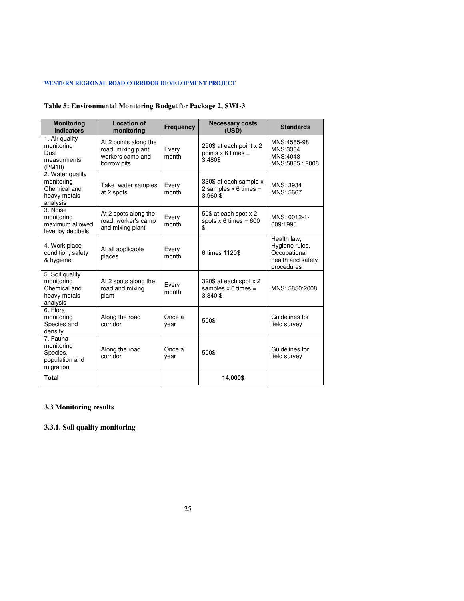### **Table 5: Environmental Monitoring Budget for Package 2, SW1-3**

| <b>Monitoring</b><br>indicators                                            | <b>Location of</b><br>monitoring                                                | <b>Frequency</b> | <b>Necessary costs</b><br>(USD)                                   | <b>Standards</b>                                                                 |
|----------------------------------------------------------------------------|---------------------------------------------------------------------------------|------------------|-------------------------------------------------------------------|----------------------------------------------------------------------------------|
| 1. Air quality<br>monitoring<br>Dust<br>measurments<br>(PM10)              | At 2 points along the<br>road, mixing plant,<br>workers camp and<br>borrow pits | Every<br>month   | 290\$ at each point x 2<br>points $x$ 6 times =<br>3,480\$        | MNS:4585-98<br>MNS:3384<br>MNS:4048<br>MNS:5885: 2008                            |
| 2. Water quality<br>monitoring<br>Chemical and<br>heavy metals<br>analysis | Take water samples<br>at 2 spots                                                | Every<br>month   | 330\$ at each sample x<br>2 samples $\times$ 6 times =<br>3,960\$ | MNS: 3934<br>MNS: 5667                                                           |
| 3. Noise<br>monitoring<br>maximum allowed<br>level by decibels             | At 2 spots along the<br>road, worker's camp<br>and mixing plant                 | Every<br>month   | 50\$ at each spot x 2<br>spots $x 6$ times = 600<br>\$            | MNS: 0012-1-<br>009:1995                                                         |
| 4. Work place<br>condition, safety<br>& hygiene                            | At all applicable<br>places                                                     | Every<br>month   | 6 times 1120\$                                                    | Health law,<br>Hygiene rules,<br>Occupational<br>health and safety<br>procedures |
| 5. Soil quality<br>monitoring<br>Chemical and<br>heavy metals<br>analysis  | At 2 spots along the<br>road and mixing<br>plant                                | Every<br>month   | 320\$ at each spot x 2<br>samples $x$ 6 times =<br>3,840\$        | MNS: 5850:2008                                                                   |
| 6. Flora<br>monitoring<br>Species and<br>density                           | Along the road<br>corridor                                                      | Once a<br>year   | 500\$                                                             | Guidelines for<br>field survey                                                   |
| 7. Fauna<br>monitoring<br>Species,<br>population and<br>migration          | Along the road<br>corridor                                                      | Once a<br>year   | 500\$                                                             | Guidelines for<br>field survey                                                   |
| <b>Total</b>                                                               |                                                                                 |                  | 14,000\$                                                          |                                                                                  |

### **3.3 Monitoring results**

**3.3.1. Soil quality monitoring**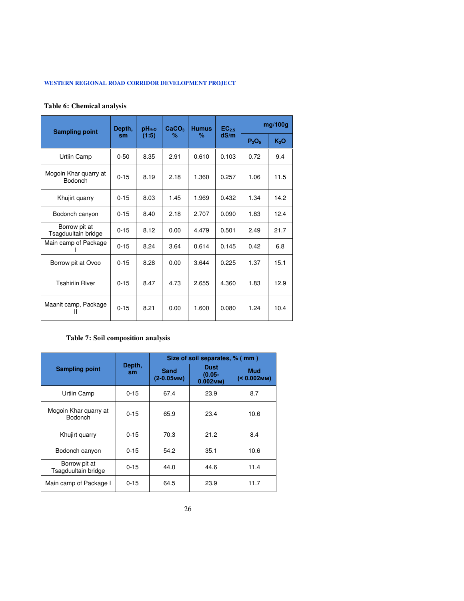### **Table 6: Chemical analysis**

| <b>Sampling point</b>                   | Depth,   | $pH_{H_2O}$ | CaCO <sub>3</sub> | <b>Humus</b> | $EC_{2.5}$ |          | mg/100g          |
|-----------------------------------------|----------|-------------|-------------------|--------------|------------|----------|------------------|
|                                         | sm       | (1:5)       | ℅                 | %            | dS/m       | $P_2O_5$ | K <sub>2</sub> O |
| Urtiin Camp                             | $0 - 50$ | 8.35        | 2.91              | 0.610        | 0.103      | 0.72     | 9.4              |
| Mogoin Khar quarry at<br><b>Bodonch</b> | $0 - 15$ | 8.19        | 2.18              | 1.360        | 0.257      | 1.06     | 11.5             |
| Khujirt quarry                          | $0 - 15$ | 8.03        | 1.45              | 1.969        | 0.432      | 1.34     | 14.2             |
| Bodonch canyon                          | $0 - 15$ | 8.40        | 2.18              | 2.707        | 0.090      | 1.83     | 12.4             |
| Borrow pit at<br>Tsagduultain bridge    | $0 - 15$ | 8.12        | 0.00              | 4.479        | 0.501      | 2.49     | 21.7             |
| Main camp of Package                    | $0 - 15$ | 8.24        | 3.64              | 0.614        | 0.145      | 0.42     | 6.8              |
| Borrow pit at Ovoo                      | $0 - 15$ | 8.28        | 0.00              | 3.644        | 0.225      | 1.37     | 15.1             |
| <b>Tsahiriin River</b>                  | $0 - 15$ | 8.47        | 4.73              | 2.655        | 4.360      | 1.83     | 12.9             |
| Maanit camp, Package<br>Ш               | $0 - 15$ | 8.21        | 0.00              | 1.600        | 0.080      | 1.24     | 10.4             |

### **Table 7: Soil composition analysis**

|                                         |              |                       | Size of soil separates, % (mm)          |                              |
|-----------------------------------------|--------------|-----------------------|-----------------------------------------|------------------------------|
| <b>Sampling point</b>                   | Depth,<br>sm | Sand<br>$(2-0.05$ MM) | <b>Dust</b><br>$(0.05 -$<br>$0.002$ MM) | <b>Mud</b><br>$(< 0.002$ MM) |
| Urtiin Camp                             | $0 - 15$     | 67.4                  | 23.9                                    | 8.7                          |
| Mogoin Khar quarry at<br><b>Bodonch</b> | $0 - 15$     | 65.9                  | 23.4                                    | 10.6                         |
| Khujirt quarry                          | $0 - 15$     | 70.3                  | 21.2                                    | 8.4                          |
| Bodonch canyon                          | $0 - 15$     | 54.2                  | 35.1                                    | 10.6                         |
| Borrow pit at<br>Tsagduultain bridge    | $0 - 15$     | 44.0                  | 44.6                                    | 11.4                         |
| Main camp of Package I                  | $0 - 15$     | 64.5                  | 23.9                                    | 11.7                         |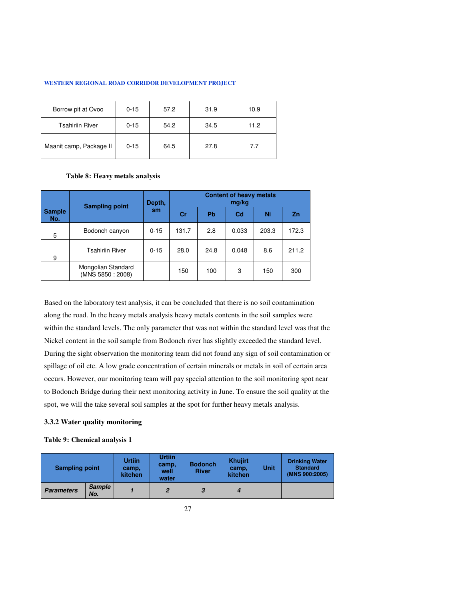| Borrow pit at Ovoo      | $0 - 15$ | 57.2 | 31.9 | 10.9 |
|-------------------------|----------|------|------|------|
| <b>Tsahiriin River</b>  | $0 - 15$ | 54.2 | 34.5 | 11.2 |
| Maanit camp, Package II | $0 - 15$ | 64.5 | 27.8 | 7.7  |

### **Table 8: Heavy metals analysis**

|                      | <b>Sampling point</b>                  | Depth,    |       | <b>Content of heavy metals</b> |                |       |           |
|----------------------|----------------------------------------|-----------|-------|--------------------------------|----------------|-------|-----------|
| <b>Sample</b><br>No. |                                        | <b>sm</b> | Cr    | <b>Pb</b>                      | C <sub>d</sub> | Ni    | <b>Zn</b> |
| 5                    | Bodonch canyon                         | $0 - 15$  | 131.7 | 2.8                            | 0.033          | 203.3 | 172.3     |
| 9                    | <b>Tsahiriin River</b>                 | $0 - 15$  | 28.0  | 24.8                           | 0.048          | 8.6   | 211.2     |
|                      | Mongolian Standard<br>(MNS 5850: 2008) |           | 150   | 100                            | 3              | 150   | 300       |

Based on the laboratory test analysis, it can be concluded that there is no soil contamination along the road. In the heavy metals analysis heavy metals contents in the soil samples were within the standard levels. The only parameter that was not within the standard level was that the Nickel content in the soil sample from Bodonch river has slightly exceeded the standard level. During the sight observation the monitoring team did not found any sign of soil contamination or spillage of oil etc. A low grade concentration of certain minerals or metals in soil of certain area occurs. However, our monitoring team will pay special attention to the soil monitoring spot near to Bodonch Bridge during their next monitoring activity in June. To ensure the soil quality at the spot, we will the take several soil samples at the spot for further heavy metals analysis.

### **3.3.2 Water quality monitoring**

### **Table 9: Chemical analysis 1**

| <b>Sampling point</b> |                      | <b>Urtiin</b><br>camp.<br>kitchen | <b>Urtiin</b><br>camp,<br>well<br>water | <b>Bodonch</b><br><b>River</b> | <b>Khujirt</b><br>camp.<br>kitchen | Unit | <b>Drinking Water</b><br><b>Standard</b><br>(MNS 900:2005) |
|-----------------------|----------------------|-----------------------------------|-----------------------------------------|--------------------------------|------------------------------------|------|------------------------------------------------------------|
| <b>Parameters</b>     | <b>Sample</b><br>No. |                                   | 2                                       | 3                              | 4                                  |      |                                                            |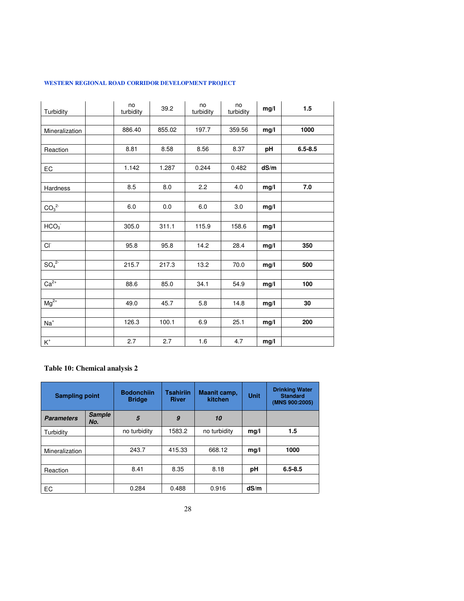| Turbidity                            | no<br>turbidity | 39.2   | no<br>turbidity | no<br>turbidity | mg/l | 1.5         |
|--------------------------------------|-----------------|--------|-----------------|-----------------|------|-------------|
|                                      |                 |        |                 |                 |      |             |
| Mineralization                       | 886.40          | 855.02 | 197.7           | 359.56          | mg/l | 1000        |
|                                      |                 |        |                 |                 |      |             |
| Reaction                             | 8.81            | 8.58   | 8.56            | 8.37            | pH   | $6.5 - 8.5$ |
|                                      |                 |        |                 |                 |      |             |
| EC                                   | 1.142           | 1.287  | 0.244           | 0.482           | dS/m |             |
|                                      |                 |        |                 |                 |      |             |
| Hardness                             | 8.5             | 8.0    | 2.2             | 4.0             | mg/l | 7.0         |
|                                      |                 |        |                 |                 |      |             |
| CO <sub>3</sub> <sup>2</sup>         | 6.0             | 0.0    | 6.0             | 3.0             | mg/l |             |
|                                      |                 |        |                 |                 |      |             |
| HCO <sub>3</sub>                     | 305.0           | 311.1  | 115.9           | 158.6           | mg/l |             |
|                                      |                 |        |                 |                 |      |             |
| <b>CI</b>                            | 95.8            | 95.8   | 14.2            | 28.4            | mg/l | 350         |
|                                      |                 |        |                 |                 |      |             |
| SO <sub>4</sub> <sup>2</sup>         | 215.7           | 217.3  | 13.2            | 70.0            | mg/l | 500         |
|                                      |                 |        |                 |                 |      |             |
| $Ca2+$                               | 88.6            | 85.0   | 34.1            | 54.9            | mg/l | 100         |
|                                      |                 |        |                 |                 |      |             |
| $Mg^{2+}$                            | 49.0            | 45.7   | 5.8             | 14.8            | mg/l | 30          |
|                                      |                 |        |                 |                 |      |             |
| $Na+$                                | 126.3           | 100.1  | 6.9             | 25.1            | mg/l | 200         |
|                                      |                 |        |                 |                 |      |             |
| $\mathsf{K}^{\scriptscriptstyle{+}}$ | 2.7             | 2.7    | 1.6             | 4.7             | mg/l |             |

### **Table 10: Chemical analysis 2**

| <b>Sampling point</b> |                      | <b>Bodonchiin</b><br><b>Bridge</b> | <b>Tsahiriin</b><br><b>River</b> | Maanit camp,<br>kitchen | <b>Unit</b> | <b>Drinking Water</b><br><b>Standard</b><br>(MNS 900:2005) |
|-----------------------|----------------------|------------------------------------|----------------------------------|-------------------------|-------------|------------------------------------------------------------|
| <b>Parameters</b>     | <b>Sample</b><br>No. | 5                                  | $\boldsymbol{g}$                 | 10                      |             |                                                            |
| Turbidity             |                      | no turbidity                       | 1583.2                           | no turbidity            | mg/l        | 1.5                                                        |
|                       |                      |                                    |                                  |                         |             |                                                            |
| Mineralization        |                      | 243.7                              | 415.33                           | 668.12                  | mg/l        | 1000                                                       |
|                       |                      |                                    |                                  |                         |             |                                                            |
| Reaction              |                      | 8.41                               | 8.35                             | 8.18                    | рH          | $6.5 - 8.5$                                                |
|                       |                      |                                    |                                  |                         |             |                                                            |
| EC                    |                      | 0.284                              | 0.488                            | 0.916                   | dS/m        |                                                            |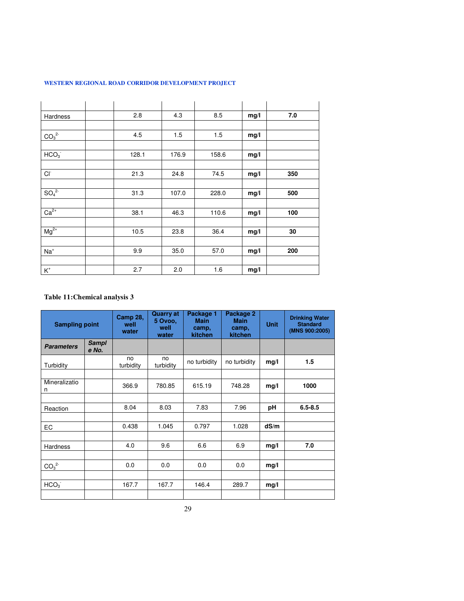| Hardness                     | 2.8   | 4.3   | 8.5   | mg/l | 7.0 |
|------------------------------|-------|-------|-------|------|-----|
|                              |       |       |       |      |     |
| CO <sub>3</sub> <sup>2</sup> | 4.5   | 1.5   | 1.5   | mg/l |     |
|                              |       |       |       |      |     |
| HCO <sub>3</sub>             | 128.1 | 176.9 | 158.6 | mg/l |     |
|                              |       |       |       |      |     |
| Cl <sup>-</sup>              | 21.3  | 24.8  | 74.5  | mg/l | 350 |
|                              |       |       |       |      |     |
| SO <sub>4</sub> <sup>2</sup> | 31.3  | 107.0 | 228.0 | mg/l | 500 |
|                              |       |       |       |      |     |
| $Ca2+$                       | 38.1  | 46.3  | 110.6 | mg/l | 100 |
|                              |       |       |       |      |     |
| $Mg^{2+}$                    | 10.5  | 23.8  | 36.4  | mg/l | 30  |
|                              |       |       |       |      |     |

### **Table 11:Chemical analysis 3**

Na<sup>+</sup>

K +

| <b>Sampling point</b>        |                       | <b>Camp 28,</b><br>well<br>water | <b>Quarry at</b><br>5 Ovoo,<br>well<br>water | Package 1<br><b>Main</b><br>camp.<br>kitchen | Package 2<br><b>Main</b><br>camp.<br>kitchen | <b>Unit</b> | <b>Drinking Water</b><br><b>Standard</b><br>(MNS 900:2005) |
|------------------------------|-----------------------|----------------------------------|----------------------------------------------|----------------------------------------------|----------------------------------------------|-------------|------------------------------------------------------------|
| <b>Parameters</b>            | <b>Sampl</b><br>e No. |                                  |                                              |                                              |                                              |             |                                                            |
| Turbidity                    |                       | no<br>turbidity                  | no<br>turbidity                              | no turbidity                                 | no turbidity                                 | mg/l        | 1.5                                                        |
|                              |                       |                                  |                                              |                                              |                                              |             |                                                            |
| Mineralizatio<br>n           |                       | 366.9                            | 780.85                                       | 615.19                                       | 748.28                                       | mg/l        | 1000                                                       |
|                              |                       |                                  |                                              |                                              |                                              |             |                                                            |
| Reaction                     |                       | 8.04                             | 8.03                                         | 7.83                                         | 7.96                                         | рH          | $6.5 - 8.5$                                                |
|                              |                       |                                  |                                              |                                              |                                              |             |                                                            |
| EC                           |                       | 0.438                            | 1.045                                        | 0.797                                        | 1.028                                        | dS/m        |                                                            |
|                              |                       |                                  |                                              |                                              |                                              |             |                                                            |
| <b>Hardness</b>              |                       | 4.0                              | 9.6                                          | 6.6                                          | 6.9                                          | mg/l        | 7.0                                                        |
|                              |                       |                                  |                                              |                                              |                                              |             |                                                            |
| CO <sub>3</sub> <sup>2</sup> |                       | 0.0                              | 0.0                                          | 0.0                                          | 0.0                                          | mg/l        |                                                            |
|                              |                       |                                  |                                              |                                              |                                              |             |                                                            |
| HCO <sub>3</sub>             |                       | 167.7                            | 167.7                                        | 146.4                                        | 289.7                                        | mg/l        |                                                            |
|                              |                       |                                  |                                              |                                              |                                              |             |                                                            |

9.9 35.0 57.0 **mg/l 200**

2.7 2.0 1.6 **mg/l**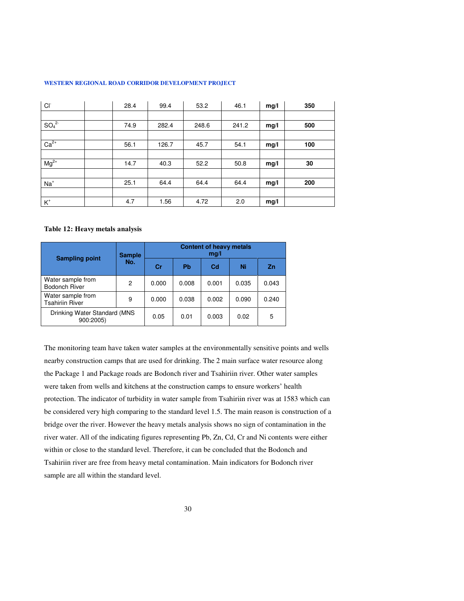| WESTERN REGIONAL ROAD CORRIDOR DEVELOPMENT PROJECT |  |  |
|----------------------------------------------------|--|--|
|                                                    |  |  |

| <b>CI</b>                    | 28.4 | 99.4  | 53.2  | 46.1  | mg/l | 350 |
|------------------------------|------|-------|-------|-------|------|-----|
|                              |      |       |       |       |      |     |
| SO <sub>4</sub> <sup>2</sup> | 74.9 | 282.4 | 248.6 | 241.2 | mg/l | 500 |
|                              |      |       |       |       |      |     |
| $Ca2+$                       | 56.1 | 126.7 | 45.7  | 54.1  | mg/l | 100 |
|                              |      |       |       |       |      |     |
| $Mg^{2+}$                    | 14.7 | 40.3  | 52.2  | 50.8  | mg/l | 30  |
|                              |      |       |       |       |      |     |
| $Na+$                        | 25.1 | 64.4  | 64.4  | 64.4  | mg/l | 200 |
|                              |      |       |       |       |      |     |
| $\mathsf{K}^*$               | 4.7  | 1.56  | 4.72  | 2.0   | mg/l |     |

#### **Table 12: Heavy metals analysis**

| <b>Sampling point</b>                       | <b>Sample</b> | <b>Content of heavy metals</b><br>mg/l |           |                |       |           |  |  |
|---------------------------------------------|---------------|----------------------------------------|-----------|----------------|-------|-----------|--|--|
|                                             | No.           | Cr                                     | <b>Pb</b> | C <sub>d</sub> | Ni    | <b>Zn</b> |  |  |
| Water sample from<br><b>Bodonch River</b>   | 2             | 0.000                                  | 0.008     | 0.001          | 0.035 | 0.043     |  |  |
| Water sample from<br><b>Tsahiriin River</b> | 9             | 0.000                                  | 0.038     | 0.002          | 0.090 | 0.240     |  |  |
| Drinking Water Standard (MNS<br>900:2005)   |               | 0.05                                   | 0.01      | 0.003          | 0.02  | 5         |  |  |

The monitoring team have taken water samples at the environmentally sensitive points and wells nearby construction camps that are used for drinking. The 2 main surface water resource along the Package 1 and Package roads are Bodonch river and Tsahiriin river. Other water samples were taken from wells and kitchens at the construction camps to ensure workers' health protection. The indicator of turbidity in water sample from Tsahiriin river was at 1583 which can be considered very high comparing to the standard level 1.5. The main reason is construction of a bridge over the river. However the heavy metals analysis shows no sign of contamination in the river water. All of the indicating figures representing Pb, Zn, Cd, Cr and Ni contents were either within or close to the standard level. Therefore, it can be concluded that the Bodonch and Tsahiriin river are free from heavy metal contamination. Main indicators for Bodonch river sample are all within the standard level.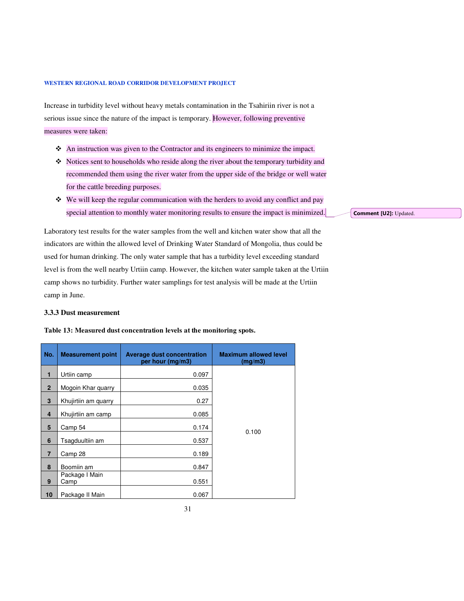Increase in turbidity level without heavy metals contamination in the Tsahiriin river is not a serious issue since the nature of the impact is temporary. However, following preventive measures were taken:

- An instruction was given to the Contractor and its engineers to minimize the impact.
- Notices sent to households who reside along the river about the temporary turbidity and recommended them using the river water from the upper side of the bridge or well water for the cattle breeding purposes.
- We will keep the regular communication with the herders to avoid any conflict and pay special attention to monthly water monitoring results to ensure the impact is minimized.

Laboratory test results for the water samples from the well and kitchen water show that all the indicators are within the allowed level of Drinking Water Standard of Mongolia, thus could be used for human drinking. The only water sample that has a turbidity level exceeding standard level is from the well nearby Urtiin camp. However, the kitchen water sample taken at the Urtiin camp shows no turbidity. Further water samplings for test analysis will be made at the Urtiin camp in June.

### **3.3.3 Dust measurement**

**Table 13: Measured dust concentration levels at the monitoring spots.** 

| No.            | <b>Measurement point</b> | <b>Average dust concentration</b><br>per hour (mg/m3) | <b>Maximum allowed level</b><br>(mg/m3) |
|----------------|--------------------------|-------------------------------------------------------|-----------------------------------------|
| 1              | Urtiin camp              | 0.097                                                 |                                         |
| $\overline{2}$ | Mogoin Khar quarry       | 0.035                                                 |                                         |
| 3              | Khujirtiin am quarry     | 0.27                                                  |                                         |
| 4              | Khujirtiin am camp       | 0.085                                                 |                                         |
| 5              | Camp 54                  | 0.174                                                 | 0.100                                   |
| 6              | Tsagduultiin am          | 0.537                                                 |                                         |
| $\overline{7}$ | Camp 28                  | 0.189                                                 |                                         |
| 8              | Boomiin am               | 0.847                                                 |                                         |
| 9              | Package I Main<br>Camp   | 0.551                                                 |                                         |
| 10             | Package II Main          | 0.067                                                 |                                         |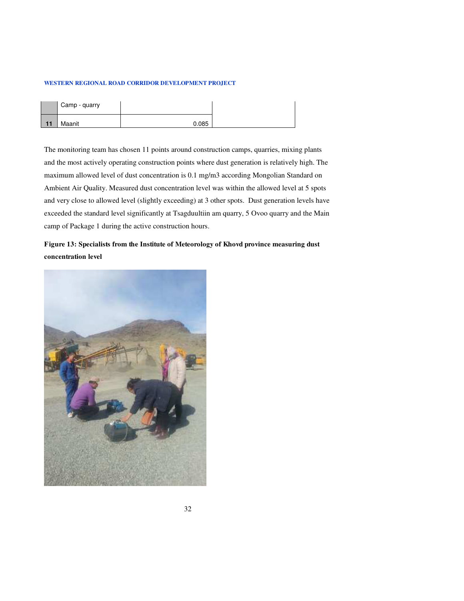| $-11$ | Camp - quarry |       |
|-------|---------------|-------|
|       | Maanit        | 0.085 |

The monitoring team has chosen 11 points around construction camps, quarries, mixing plants and the most actively operating construction points where dust generation is relatively high. The maximum allowed level of dust concentration is 0.1 mg/m3 according Mongolian Standard on Ambient Air Quality. Measured dust concentration level was within the allowed level at 5 spots and very close to allowed level (slightly exceeding) at 3 other spots. Dust generation levels have exceeded the standard level significantly at Tsagduultiin am quarry, 5 Ovoo quarry and the Main camp of Package 1 during the active construction hours.

### **Figure 13: Specialists from the Institute of Meteorology of Khovd province measuring dust concentration level**

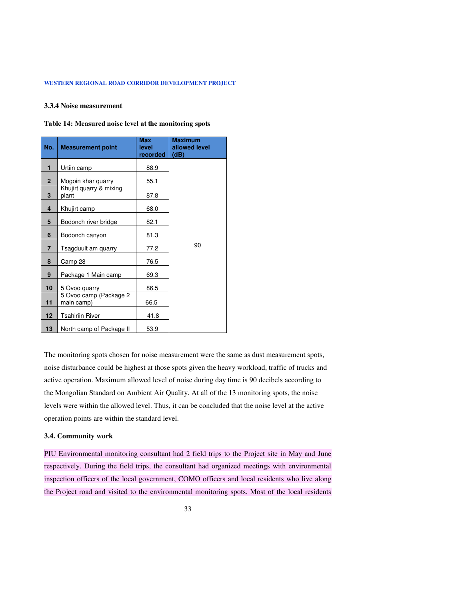### **3.3.4 Noise measurement**

#### **Table 14: Measured noise level at the monitoring spots**

| No.                     | <b>Measurement point</b>             | <b>Max</b><br>level<br>recorded | <b>Maximum</b><br>allowed level<br>(dB) |
|-------------------------|--------------------------------------|---------------------------------|-----------------------------------------|
| 1                       | Urtiin camp                          | 88.9                            |                                         |
| $\overline{2}$          | Mogoin khar quarry                   | 55.1                            |                                         |
| 3                       | Khujirt quarry & mixing<br>plant     | 87.8                            |                                         |
| $\overline{\mathbf{4}}$ | Khujirt camp                         | 68.0                            |                                         |
| 5                       | Bodonch river bridge                 | 82.1                            |                                         |
| 6                       | Bodonch canyon                       | 81.3                            |                                         |
| 7                       | Tsagduult am quarry                  | 77.2                            | 90                                      |
| 8                       | Camp 28                              | 76.5                            |                                         |
| 9                       | Package 1 Main camp                  | 69.3                            |                                         |
| 10                      | 5 Ovoo quarry                        | 86.5                            |                                         |
| 11                      | 5 Ovoo camp (Package 2<br>main camp) | 66.5                            |                                         |
| 12                      | <b>Tsahiriin River</b>               | 41.8                            |                                         |
| 13                      | North camp of Package II             | 53.9                            |                                         |

The monitoring spots chosen for noise measurement were the same as dust measurement spots, noise disturbance could be highest at those spots given the heavy workload, traffic of trucks and active operation. Maximum allowed level of noise during day time is 90 decibels according to the Mongolian Standard on Ambient Air Quality. At all of the 13 monitoring spots, the noise levels were within the allowed level. Thus, it can be concluded that the noise level at the active operation points are within the standard level.

### **3.4. Community work**

PIU Environmental monitoring consultant had 2 field trips to the Project site in May and June respectively. During the field trips, the consultant had organized meetings with environmental inspection officers of the local government, COMO officers and local residents who live along the Project road and visited to the environmental monitoring spots. Most of the local residents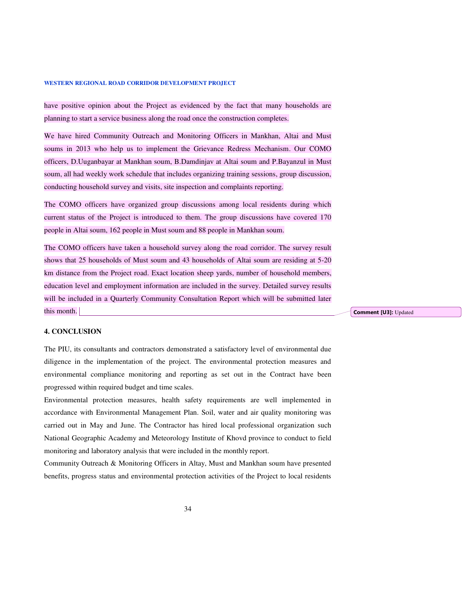have positive opinion about the Project as evidenced by the fact that many households are planning to start a service business along the road once the construction completes.

We have hired Community Outreach and Monitoring Officers in Mankhan, Altai and Must soums in 2013 who help us to implement the Grievance Redress Mechanism. Our COMO officers, D.Uuganbayar at Mankhan soum, B.Damdinjav at Altai soum and P.Bayanzul in Must soum, all had weekly work schedule that includes organizing training sessions, group discussion, conducting household survey and visits, site inspection and complaints reporting.

The COMO officers have organized group discussions among local residents during which current status of the Project is introduced to them. The group discussions have covered 170 people in Altai soum, 162 people in Must soum and 88 people in Mankhan soum.

The COMO officers have taken a household survey along the road corridor. The survey result shows that 25 households of Must soum and 43 households of Altai soum are residing at 5-20 km distance from the Project road. Exact location sheep yards, number of household members, education level and employment information are included in the survey. Detailed survey results will be included in a Quarterly Community Consultation Report which will be submitted later this month.

**Comment [U3]:** Updated

### **4. CONCLUSION**

The PIU, its consultants and contractors demonstrated a satisfactory level of environmental due diligence in the implementation of the project. The environmental protection measures and environmental compliance monitoring and reporting as set out in the Contract have been progressed within required budget and time scales.

Environmental protection measures, health safety requirements are well implemented in accordance with Environmental Management Plan. Soil, water and air quality monitoring was carried out in May and June. The Contractor has hired local professional organization such National Geographic Academy and Meteorology Institute of Khovd province to conduct to field monitoring and laboratory analysis that were included in the monthly report.

Community Outreach & Monitoring Officers in Altay, Must and Mankhan soum have presented benefits, progress status and environmental protection activities of the Project to local residents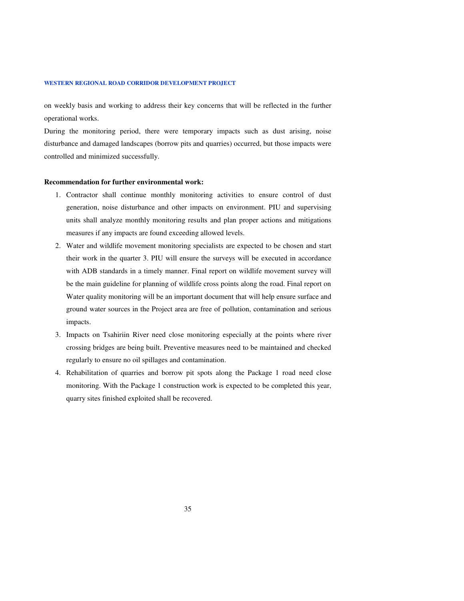on weekly basis and working to address their key concerns that will be reflected in the further operational works.

During the monitoring period, there were temporary impacts such as dust arising, noise disturbance and damaged landscapes (borrow pits and quarries) occurred, but those impacts were controlled and minimized successfully.

#### **Recommendation for further environmental work:**

- 1. Contractor shall continue monthly monitoring activities to ensure control of dust generation, noise disturbance and other impacts on environment. PIU and supervising units shall analyze monthly monitoring results and plan proper actions and mitigations measures if any impacts are found exceeding allowed levels.
- 2. Water and wildlife movement monitoring specialists are expected to be chosen and start their work in the quarter 3. PIU will ensure the surveys will be executed in accordance with ADB standards in a timely manner. Final report on wildlife movement survey will be the main guideline for planning of wildlife cross points along the road. Final report on Water quality monitoring will be an important document that will help ensure surface and ground water sources in the Project area are free of pollution, contamination and serious impacts.
- 3. Impacts on Tsahiriin River need close monitoring especially at the points where river crossing bridges are being built. Preventive measures need to be maintained and checked regularly to ensure no oil spillages and contamination.
- 4. Rehabilitation of quarries and borrow pit spots along the Package 1 road need close monitoring. With the Package 1 construction work is expected to be completed this year, quarry sites finished exploited shall be recovered.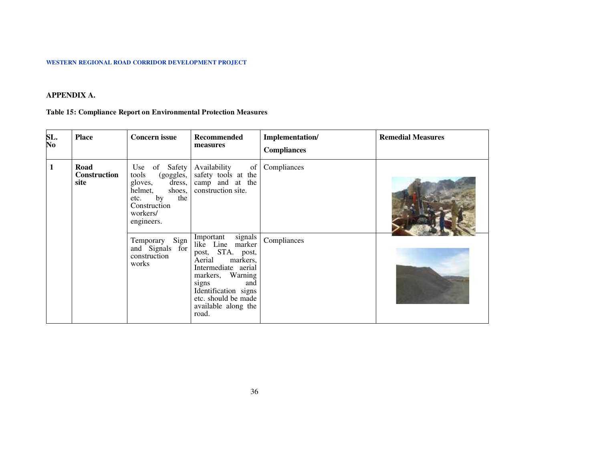### **APPENDIX A.**

### **Table 15: Compliance Report on Environmental Protection Measures**

| SL.<br>No    | <b>Place</b>                 | <b>Concern issue</b>                                                                                                                         | <b>Recommended</b><br>measures                                                                                                                                                                                                  | Implementation/<br><b>Compliances</b> | <b>Remedial Measures</b> |
|--------------|------------------------------|----------------------------------------------------------------------------------------------------------------------------------------------|---------------------------------------------------------------------------------------------------------------------------------------------------------------------------------------------------------------------------------|---------------------------------------|--------------------------|
| $\mathbf{1}$ | Road<br>Construction<br>site | Use of Safety<br>tools<br>(goggles,<br>dress,<br>gloves,<br>shoes,<br>helmet,<br>by<br>the<br>etc.<br>Construction<br>workers/<br>engineers. | Availability<br>of<br>safety tools at the<br>camp and at the<br>construction site.                                                                                                                                              | Compliances                           |                          |
|              |                              | Sign<br>Temporary<br>and Signals for<br>construction<br>works                                                                                | signals<br>marker<br>Important<br>like Line<br>post, STA. post,<br>Aerial<br>markers,<br>Intermediate aerial<br>markers, Warning<br>signs<br>and<br>Identification signs<br>etc. should be made<br>available along the<br>road. | Compliances                           |                          |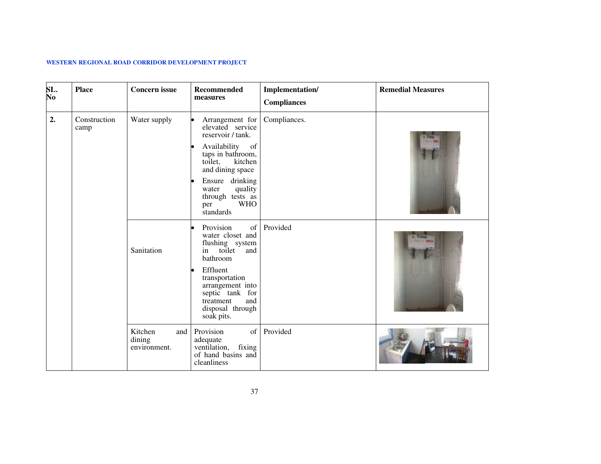| SL.<br>No | <b>Place</b>         | <b>Concern issue</b>                     | <b>Recommended</b><br>measures                                                                                                                                                                                                             | Implementation/<br><b>Compliances</b> | <b>Remedial Measures</b> |
|-----------|----------------------|------------------------------------------|--------------------------------------------------------------------------------------------------------------------------------------------------------------------------------------------------------------------------------------------|---------------------------------------|--------------------------|
| 2.        | Construction<br>camp | Water supply                             | Arrangement for<br>elevated service<br>reservoir / tank.<br>Availability<br>of<br>taps in bathroom,<br>kitchen<br>toilet,<br>and dining space<br>Ensure drinking<br>quality<br>water<br>through tests as<br><b>WHO</b><br>per<br>standards | Compliances.                          |                          |
|           |                      | Sanitation                               | Provision<br>of<br>water closet and<br>flushing system<br>toilet<br>in<br>and<br>bathroom<br>Effluent<br>transportation<br>arrangement into<br>septic tank for<br>treatment<br>and<br>disposal through<br>soak pits.                       | Provided                              |                          |
|           |                      | Kitchen<br>and<br>dining<br>environment. | Provision<br>of<br>adequate<br>ventilation, fixing<br>of hand basins and<br>cleanliness                                                                                                                                                    | Provided                              |                          |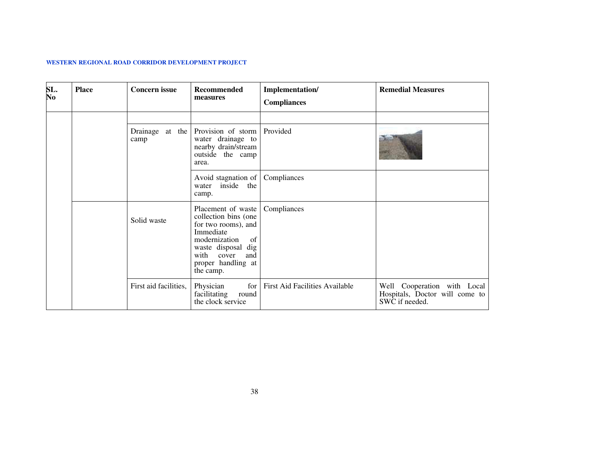| SL.<br>$\overline{\mathbf{N}\mathbf{o}}$ | <b>Place</b> | <b>Concern issue</b>  | <b>Recommended</b><br>measures                                                                                                                                                      | Implementation/<br><b>Compliances</b> | <b>Remedial Measures</b>                                                        |
|------------------------------------------|--------------|-----------------------|-------------------------------------------------------------------------------------------------------------------------------------------------------------------------------------|---------------------------------------|---------------------------------------------------------------------------------|
|                                          |              | Drainage at the       | Provision of storm                                                                                                                                                                  | Provided                              |                                                                                 |
|                                          |              | camp                  | water drainage to<br>nearby drain/stream<br>outside the camp<br>area.                                                                                                               |                                       |                                                                                 |
|                                          |              |                       | Avoid stagnation of<br>inside the<br>water<br>camp.                                                                                                                                 | Compliances                           |                                                                                 |
|                                          |              | Solid waste           | Placement of waste<br>collection bins (one<br>for two rooms), and<br>Immediate<br>modernization<br>of<br>waste disposal dig<br>with cover<br>and<br>proper handling at<br>the camp. | Compliances                           |                                                                                 |
|                                          |              | First aid facilities, | for<br>Physician<br>facilitating<br>round<br>the clock service                                                                                                                      | First Aid Facilities Available        | Well Cooperation with Local<br>Hospitals, Doctor will come to<br>SWC if needed. |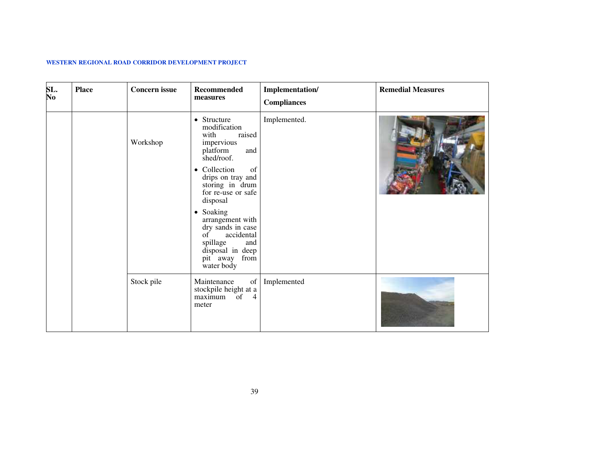| SL.<br>No | <b>Place</b> | <b>Concern issue</b> | Recommended<br>measures                                                                                                                              | Implementation/<br><b>Compliances</b> | <b>Remedial Measures</b> |
|-----------|--------------|----------------------|------------------------------------------------------------------------------------------------------------------------------------------------------|---------------------------------------|--------------------------|
|           |              | Workshop             | • Structure<br>modification<br>raised<br>with<br>impervious<br>platform<br>and<br>shed/roof.                                                         | Implemented.                          |                          |
|           |              |                      | • Collection<br>of<br>drips on tray and<br>storing in drum<br>for re-use or safe<br>disposal                                                         |                                       |                          |
|           |              |                      | • Soaking<br>arrangement with<br>dry sands in case<br>accidental<br>$\sigma$ f<br>spillage<br>and<br>disposal in deep<br>pit away from<br>water body |                                       |                          |
|           |              | Stock pile           | Maintenance<br>of<br>stockpile height at a<br>$\overline{4}$<br>maximum of<br>meter                                                                  | Implemented                           |                          |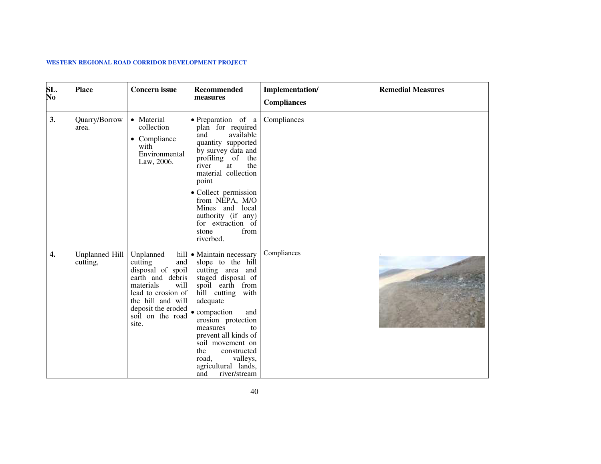| SL.<br>No | <b>Place</b>               | <b>Concern issue</b>                                                                                                                                                                                         | Recommended<br>measures                                                                                                                                                                                                                                                                                                           | Implementation/<br><b>Compliances</b> | <b>Remedial Measures</b> |
|-----------|----------------------------|--------------------------------------------------------------------------------------------------------------------------------------------------------------------------------------------------------------|-----------------------------------------------------------------------------------------------------------------------------------------------------------------------------------------------------------------------------------------------------------------------------------------------------------------------------------|---------------------------------------|--------------------------|
| 3.        | Quarry/Borrow<br>area.     | • Material<br>collection<br>• Compliance<br>with<br>Environmental<br>Law, 2006.                                                                                                                              | • Preparation of a<br>plan for required<br>available<br>and<br>quantity supported<br>by survey data and<br>profiling of the<br>the<br>river<br>at<br>material collection<br>point<br>Collect permission<br>from NEPA, M/O<br>Mines and local<br>authority (if any)<br>for extraction of<br>from<br>stone<br>riverbed.             | Compliances                           |                          |
| 4.        | Unplanned Hill<br>cutting, | Unplanned<br>cutting<br>and<br>disposal of spoil<br>earth and debris<br>materials<br>will<br>lead to erosion of<br>the hill and will<br>deposit the eroded $\bullet$ compaction<br>soil on the road<br>site. | hill • Maintain necessary<br>slope to the hill<br>cutting area and<br>staged disposal of<br>spoil earth from<br>hill cutting with<br>adequate<br>and<br>erosion protection<br>measures<br>to<br>prevent all kinds of<br>soil movement on<br>the<br>constructed<br>road,<br>valleys,<br>agricultural lands,<br>and<br>river/stream | Compliances                           |                          |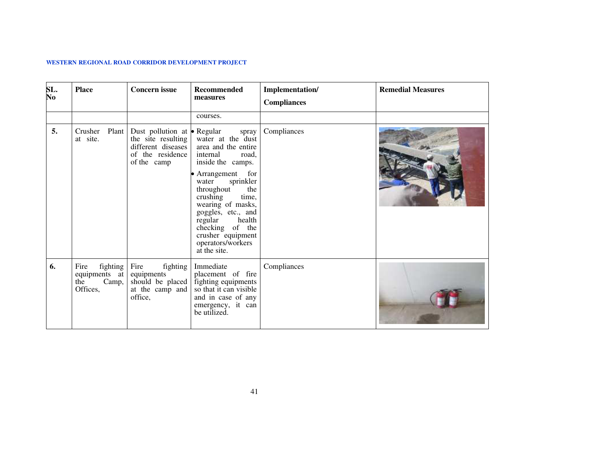| SL.<br>No | <b>Place</b>                                                          | <b>Concern issue</b>                                                                                               | <b>Recommended</b><br>measures                                                                                                                                                                                                                                                                                                | Implementation/<br><b>Compliances</b> | <b>Remedial Measures</b> |
|-----------|-----------------------------------------------------------------------|--------------------------------------------------------------------------------------------------------------------|-------------------------------------------------------------------------------------------------------------------------------------------------------------------------------------------------------------------------------------------------------------------------------------------------------------------------------|---------------------------------------|--------------------------|
|           |                                                                       |                                                                                                                    | courses.                                                                                                                                                                                                                                                                                                                      |                                       |                          |
| 5.        | Crusher Plant<br>at site.                                             | Dust pollution at $\bullet$ Regular<br>the site resulting<br>different diseases<br>of the residence<br>of the camp | spray<br>water at the dust<br>area and the entire<br>internal<br>road,<br>inside the camps.<br>• Arrangement for<br>sprinkler<br>water<br>throughout<br>the<br>crushing<br>time,<br>wearing of masks,<br>goggles, etc., and<br>regular<br>health<br>checking of the<br>crusher equipment<br>operators/workers<br>at the site. | Compliances                           |                          |
| 6.        | fighting $\vert$<br>Fire<br>equipments at<br>Camp,<br>the<br>Offices, | Fire<br>fighting<br>equipments<br>should be placed<br>at the camp and<br>office,                                   | Immediate<br>placement of fire<br>fighting equipments<br>so that it can visible<br>and in case of any<br>emergency, it can<br>be utilized.                                                                                                                                                                                    | Compliances                           |                          |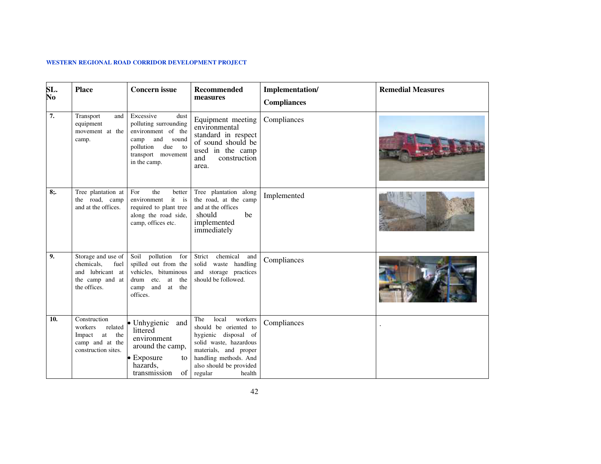| SL.<br>No        | <b>Place</b>                                                                                    | <b>Concern</b> issue                                                                                                                                     | <b>Recommended</b><br>measures                                                                                                                                                                       | Implementation/<br><b>Compliances</b> | <b>Remedial Measures</b> |
|------------------|-------------------------------------------------------------------------------------------------|----------------------------------------------------------------------------------------------------------------------------------------------------------|------------------------------------------------------------------------------------------------------------------------------------------------------------------------------------------------------|---------------------------------------|--------------------------|
| $\overline{7}$ . | Transport<br>and<br>equipment<br>movement at the<br>camp.                                       | Excessive<br>dust<br>polluting surrounding<br>environment of the<br>and<br>sound<br>camp<br>due<br>pollution<br>to<br>transport movement<br>in the camp. | Equipment meeting<br>environmental<br>standard in respect<br>of sound should be<br>used in the camp<br>construction<br>and<br>area.                                                                  | Compliances                           |                          |
| 8:               | Tree plantation at<br>the road, camp<br>and at the offices.                                     | For<br>the<br>better<br>environment<br>it is<br>required to plant tree<br>along the road side,<br>camp, offices etc.                                     | Tree plantation along<br>the road, at the camp<br>and at the offices<br>should<br>be<br>implemented<br>immediately                                                                                   | Implemented                           |                          |
| 9.               | Storage and use of<br>chemicals,<br>fuel<br>and lubricant at<br>the camp and at<br>the offices. | Soil pollution<br>for<br>spilled out from the<br>vehicles, bituminous<br>drum etc.<br>at<br>the<br>camp and<br>the<br>at<br>offices.                     | Strict<br>chemical<br>and<br>solid waste handling<br>and storage practices<br>should be followed.                                                                                                    | Compliances                           |                          |
| 10.              | Construction<br>related<br>workers<br>Impact at the<br>camp and at the<br>construction sites.   | • Unhygienic and<br>littered<br>environment<br>around the camp,<br>$\bullet$ Exposure<br>to<br>hazards,<br>transmission<br>of                            | local<br>The<br>workers<br>should be oriented to<br>hygienic disposal of<br>solid waste, hazardous<br>materials, and proper<br>handling methods. And<br>also should be provided<br>regular<br>health | Compliances                           |                          |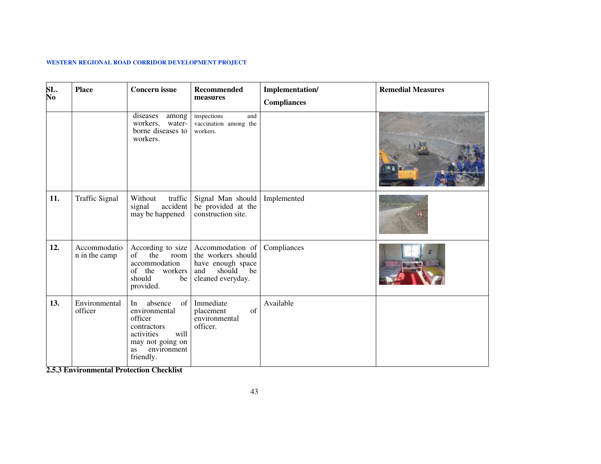| SL.<br>No | <b>Place</b>                  | <b>Concern</b> issue                                                                                                                       | Recommended<br>measures                                                                                 | Implementation/<br><b>Compliances</b> | <b>Remedial Measures</b> |
|-----------|-------------------------------|--------------------------------------------------------------------------------------------------------------------------------------------|---------------------------------------------------------------------------------------------------------|---------------------------------------|--------------------------|
|           |                               | diseases<br>among<br>workers,<br>water-<br>borne diseases to<br>workers.                                                                   | inspections<br>and<br>vaccination among the<br>workers.                                                 |                                       |                          |
| 11.       | <b>Traffic Signal</b>         | Without<br>traffic<br>accident<br>signal<br>may be happened                                                                                | Signal Man should<br>be provided at the<br>construction site.                                           | Implemented                           |                          |
| 12.       | Accommodatio<br>n in the camp | According to size<br>the<br>of<br>room<br>accommodation<br>of the workers<br>should<br>be<br>provided.                                     | Accommodation of<br>the workers should<br>have enough space<br>and<br>should<br>be<br>cleaned everyday. | Compliances                           |                          |
| 13.       | Environmental<br>officer      | absence<br>of<br>In<br>environmental<br>officer<br>contractors<br>will<br>activities<br>may not going on<br>environment<br>as<br>friendly. | Immediate<br>of<br>placement<br>environmental<br>officer.                                               | Available                             |                          |

**2.5.3 Environmental Protection Checklist**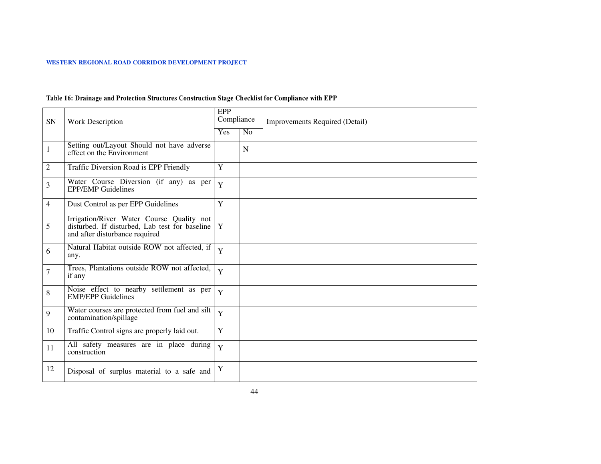### **Table 16: Drainage and Protection Structures Construction Stage Checklist for Compliance with EPP**

| SN             | <b>Work Description</b>                                                                                                             | EPP<br>Compliance |             | <b>Improvements Required (Detail)</b> |
|----------------|-------------------------------------------------------------------------------------------------------------------------------------|-------------------|-------------|---------------------------------------|
|                |                                                                                                                                     | Yes               | No          |                                       |
| 1              | Setting out/Layout Should not have adverse<br>effect on the Environment                                                             |                   | $\mathbf N$ |                                       |
| $\overline{2}$ | Traffic Diversion Road is EPP Friendly                                                                                              | Y                 |             |                                       |
| 3              | Water Course Diversion (if any) as per<br><b>EPP/EMP Guidelines</b>                                                                 | Y                 |             |                                       |
| 4              | Dust Control as per EPP Guidelines                                                                                                  | Y                 |             |                                       |
| 5              | Irrigation/River Water Course Quality not<br>disturbed. If disturbed, Lab test for baseline $ Y $<br>and after disturbance required |                   |             |                                       |
| 6              | Natural Habitat outside ROW not affected, if<br>any.                                                                                | Y                 |             |                                       |
| 7              | Trees, Plantations outside ROW not affected,<br>if any                                                                              | Y                 |             |                                       |
| 8              | Noise effect to nearby settlement as per<br><b>EMP/EPP Guidelines</b>                                                               | Y                 |             |                                       |
| 9              | Water courses are protected from fuel and silt<br>contamination/spillage                                                            | Y                 |             |                                       |
| 10             | Traffic Control signs are properly laid out.                                                                                        | $\overline{Y}$    |             |                                       |
| 11             | All safety measures are in place during<br>construction                                                                             | Y                 |             |                                       |
| 12             | Disposal of surplus material to a safe and                                                                                          | Y                 |             |                                       |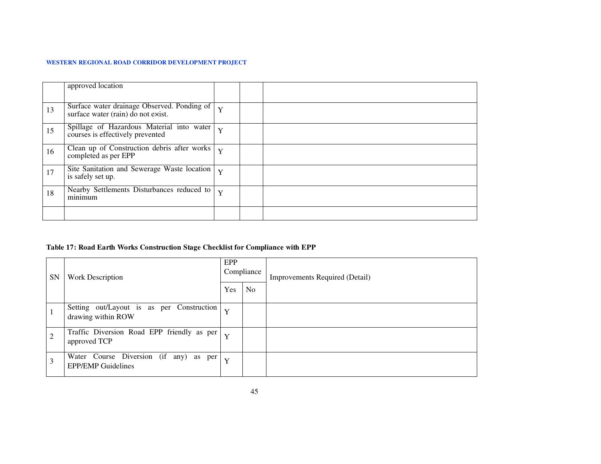|    | approved location                                                                 |                         |  |
|----|-----------------------------------------------------------------------------------|-------------------------|--|
| 13 | Surface water drainage Observed. Ponding of<br>surface water (rain) do not exist. | $\overline{\mathbf{v}}$ |  |
| 15 | Spillage of Hazardous Material into water<br>courses is effectively prevented     | $\mathbf{v}$            |  |
| 16 | Clean up of Construction debris after works<br>completed as per EPP               | Y                       |  |
| 17 | Site Sanitation and Sewerage Waste location<br>is safely set up.                  | Y                       |  |
| 18 | Nearby Settlements Disturbances reduced to<br>minimum                             | Y                       |  |
|    |                                                                                   |                         |  |

### **Table 17: Road Earth Works Construction Stage Checklist for Compliance with EPP**

| <b>SN</b>      | Work Description                                                    |   | Compliance     | <b>Improvements Required (Detail)</b> |
|----------------|---------------------------------------------------------------------|---|----------------|---------------------------------------|
|                |                                                                     |   | N <sub>o</sub> |                                       |
|                | Setting out/Layout is as per Construction<br>drawing within ROW     | Y |                |                                       |
| $\overline{2}$ | Traffic Diversion Road EPP friendly as per<br>approved TCP          | Y |                |                                       |
| 3              | Water Course Diversion (if any) as per<br><b>EPP/EMP</b> Guidelines | Y |                |                                       |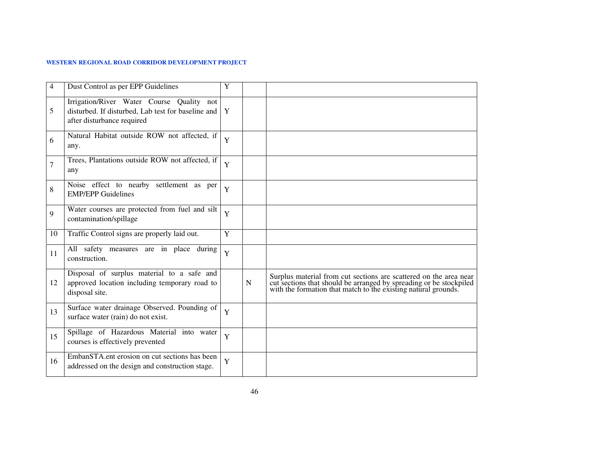| 4  | Dust Control as per EPP Guidelines                                                                                            | Y |   |                                                                                                                                                                                                           |
|----|-------------------------------------------------------------------------------------------------------------------------------|---|---|-----------------------------------------------------------------------------------------------------------------------------------------------------------------------------------------------------------|
| 5  | Irrigation/River Water Course Quality not<br>disturbed. If disturbed, Lab test for baseline and<br>after disturbance required | Y |   |                                                                                                                                                                                                           |
| 6  | Natural Habitat outside ROW not affected, if<br>any.                                                                          | Y |   |                                                                                                                                                                                                           |
| 7  | Trees, Plantations outside ROW not affected, if<br>any                                                                        | Y |   |                                                                                                                                                                                                           |
| 8  | Noise effect to nearby settlement as per<br><b>EMP/EPP Guidelines</b>                                                         | Y |   |                                                                                                                                                                                                           |
| 9  | Water courses are protected from fuel and silt<br>contamination/spillage                                                      | Y |   |                                                                                                                                                                                                           |
| 10 | Traffic Control signs are properly laid out.                                                                                  | Y |   |                                                                                                                                                                                                           |
| 11 | All safety measures are in place during<br>construction.                                                                      | Y |   |                                                                                                                                                                                                           |
| 12 | Disposal of surplus material to a safe and<br>approved location including temporary road to<br>disposal site.                 |   | N | Surplus material from cut sections are scattered on the area near<br>cut sections that should be arranged by spreading or be stockpiled<br>with the formation that match to the existing natural grounds. |
| 13 | Surface water drainage Observed. Pounding of<br>surface water (rain) do not exist.                                            | Y |   |                                                                                                                                                                                                           |
| 15 | Spillage of Hazardous Material into water<br>courses is effectively prevented                                                 | Y |   |                                                                                                                                                                                                           |
| 16 | EmbanSTA.ent erosion on cut sections has been<br>addressed on the design and construction stage.                              | Y |   |                                                                                                                                                                                                           |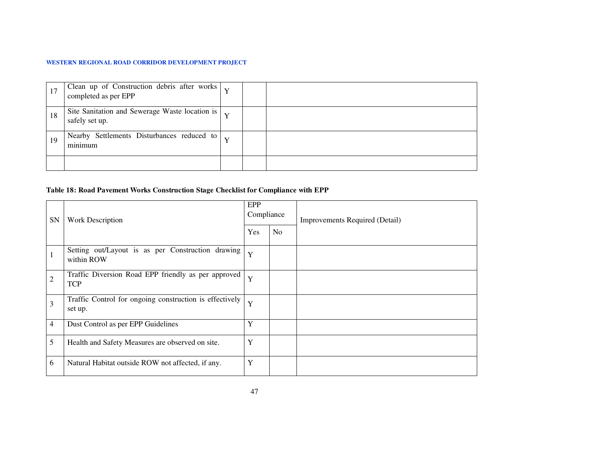|     | Clean up of Construction debris after works<br>Y<br>Y                            |  |  |
|-----|----------------------------------------------------------------------------------|--|--|
| -18 | Site Sanitation and Sewerage Waste location is $\vert$ $\vert$<br>safely set up. |  |  |
| 19  | Nearby Settlements Disturbances reduced to<br>minimum                            |  |  |
|     |                                                                                  |  |  |

### **Table 18: Road Pavement Works Construction Stage Checklist for Compliance with EPP**

| SN             | <b>Work Description</b>                                            | EPP<br>Compliance |                | Improvements Required (Detail) |
|----------------|--------------------------------------------------------------------|-------------------|----------------|--------------------------------|
|                |                                                                    |                   | N <sub>o</sub> |                                |
|                | Setting out/Layout is as per Construction drawing<br>within ROW    | Y                 |                |                                |
| $\overline{2}$ | Traffic Diversion Road EPP friendly as per approved<br><b>TCP</b>  | Y                 |                |                                |
| 3              | Traffic Control for ongoing construction is effectively<br>set up. | Y                 |                |                                |
| 4              | Dust Control as per EPP Guidelines                                 | Y                 |                |                                |
| 5              | Health and Safety Measures are observed on site.                   | Y                 |                |                                |
| 6              | Natural Habitat outside ROW not affected, if any.                  | Y                 |                |                                |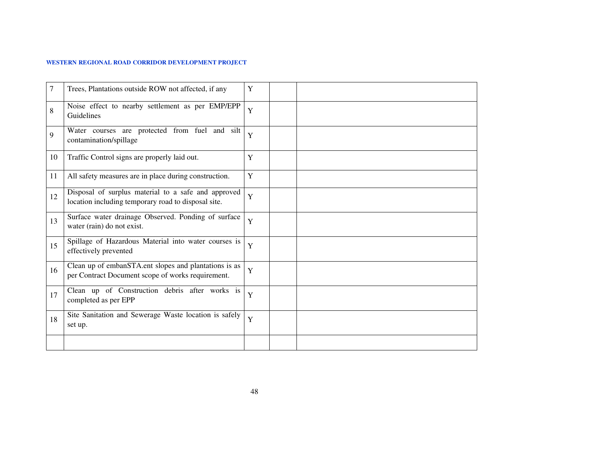| 7  | Trees, Plantations outside ROW not affected, if any                                                        | Y |  |
|----|------------------------------------------------------------------------------------------------------------|---|--|
| 8  | Noise effect to nearby settlement as per EMP/EPP<br>Guidelines                                             | Y |  |
| 9  | Water courses are protected from fuel and silt<br>contamination/spillage                                   | Y |  |
| 10 | Traffic Control signs are properly laid out.                                                               | Y |  |
| 11 | All safety measures are in place during construction.                                                      | Y |  |
| 12 | Disposal of surplus material to a safe and approved<br>location including temporary road to disposal site. | Y |  |
| 13 | Surface water drainage Observed. Ponding of surface<br>water (rain) do not exist.                          | Y |  |
| 15 | Spillage of Hazardous Material into water courses is<br>effectively prevented                              | Y |  |
| 16 | Clean up of embanSTA.ent slopes and plantations is as<br>per Contract Document scope of works requirement. | Y |  |
| 17 | Clean up of Construction debris after works is<br>completed as per EPP                                     | Y |  |
| 18 | Site Sanitation and Sewerage Waste location is safely<br>set up.                                           | Y |  |
|    |                                                                                                            |   |  |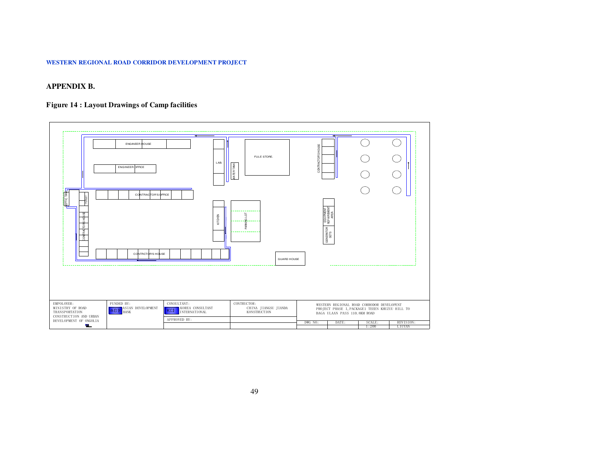### **APPENDIX B.**

### **Figure 14 : Layout Drawings of Camp facilities**